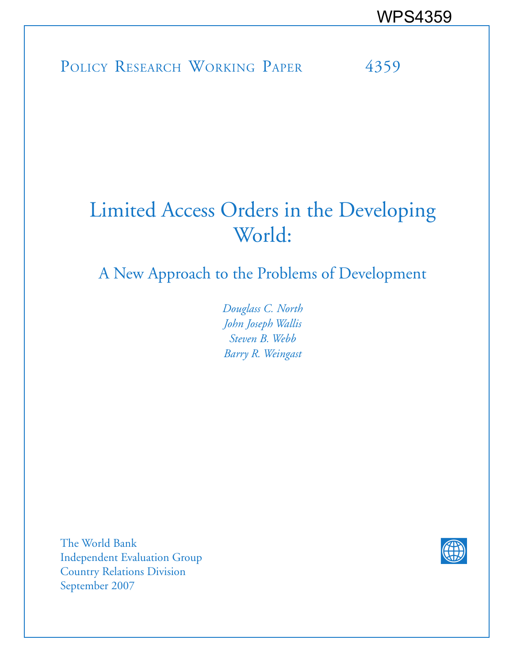POLICY RESEARCH WORKING PAPER 4359

# Limited Access Orders in the Developing World:

A New Approach to the Problems of Development

*Douglass C. North John Joseph Wallis Steven B. Webb Barry R. Weingast*

The World Bank Independent Evaluation Group Country Relations Division September 2007

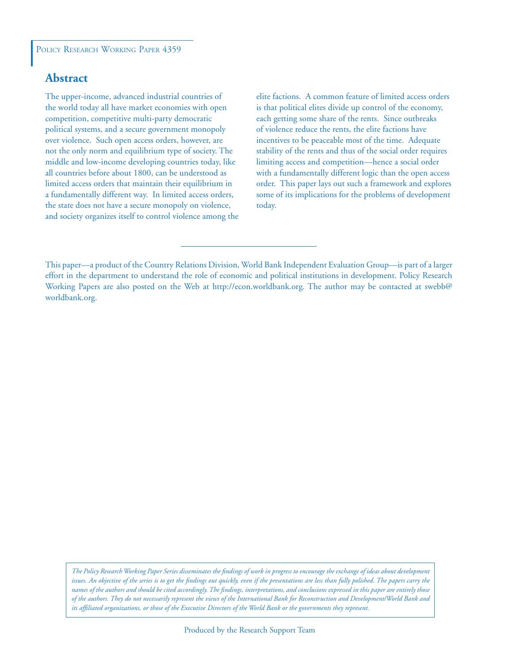## **Abstract**

The upper-income, advanced industrial countries of the world today all have market economies with open competition, competitive multi-party democratic political systems, and a secure government monopoly over violence. Such open access orders, however, are not the only norm and equilibrium type of society. The middle and low-income developing countries today, like all countries before about 1800, can be understood as limited access orders that maintain their equilibrium in a fundamentally different way. In limited access orders, the state does not have a secure monopoly on violence, and society organizes itself to control violence among the elite factions. A common feature of limited access orders is that political elites divide up control of the economy, each getting some share of the rents. Since outbreaks of violence reduce the rents, the elite factions have incentives to be peaceable most of the time. Adequate stability of the rents and thus of the social order requires limiting access and competition—hence a social order with a fundamentally different logic than the open access order. This paper lays out such a framework and explores some of its implications for the problems of development today.

*The Policy Research Working Paper Series disseminates the findings of work in progress to encourage the exchange of ideas about development*  issues. An objective of the series is to get the findings out quickly, even if the presentations are less than fully polished. The papers carry the *names of the authors and should be cited accordingly. The findings, interpretations, and conclusions expressed in this paper are entirely those of the authors. They do not necessarily represent the views of the International Bank for Reconstruction and Development/World Bank and its affiliated organizations, or those of the Executive Directors of the World Bank or the governments they represent.*

This paper—a product of the Country Relations Division, World Bank Independent Evaluation Group—is part of a larger effort in the department to understand the role of economic and political institutions in development. Policy Research Working Papers are also posted on the Web at http://econ.worldbank.org. The author may be contacted at swebb@ worldbank.org.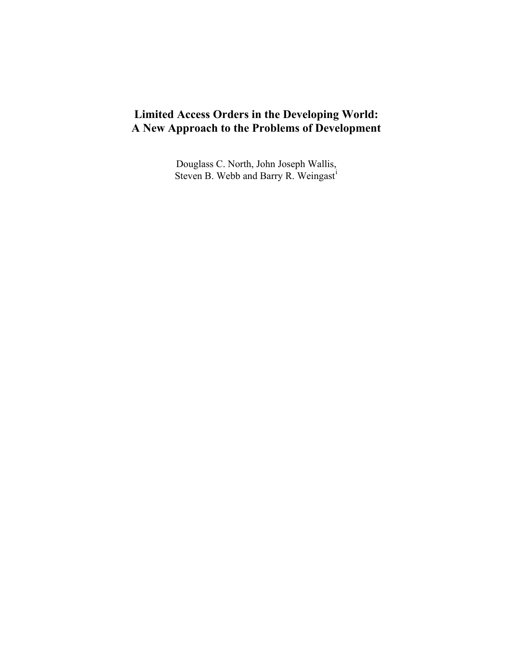## **Limited Access Orders in the Developing World: A New Approach to the Problems of Development**

Douglass C. North, John Joseph Wallis, Steven B. Webb and Barry R. We[i](#page-49-0)ngast<sup>i</sup>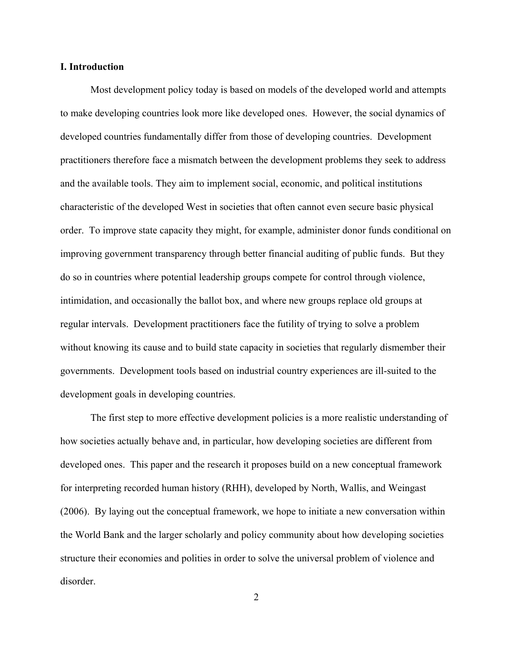## **I. Introduction**

Most development policy today is based on models of the developed world and attempts to make developing countries look more like developed ones. However, the social dynamics of developed countries fundamentally differ from those of developing countries. Development practitioners therefore face a mismatch between the development problems they seek to address and the available tools. They aim to implement social, economic, and political institutions characteristic of the developed West in societies that often cannot even secure basic physical order. To improve state capacity they might, for example, administer donor funds conditional on improving government transparency through better financial auditing of public funds. But they do so in countries where potential leadership groups compete for control through violence, intimidation, and occasionally the ballot box, and where new groups replace old groups at regular intervals. Development practitioners face the futility of trying to solve a problem without knowing its cause and to build state capacity in societies that regularly dismember their governments. Development tools based on industrial country experiences are ill-suited to the development goals in developing countries.

The first step to more effective development policies is a more realistic understanding of how societies actually behave and, in particular, how developing societies are different from developed ones. This paper and the research it proposes build on a new conceptual framework for interpreting recorded human history (RHH), developed by North, Wallis, and Weingast (2006). By laying out the conceptual framework, we hope to initiate a new conversation within the World Bank and the larger scholarly and policy community about how developing societies structure their economies and polities in order to solve the universal problem of violence and disorder.

2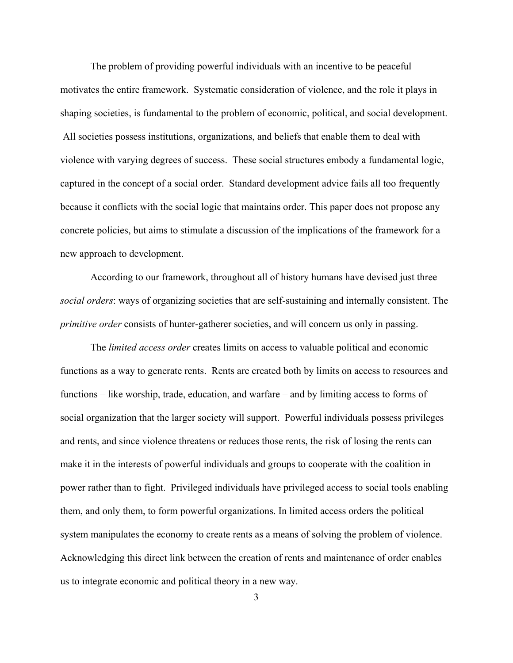The problem of providing powerful individuals with an incentive to be peaceful motivates the entire framework. Systematic consideration of violence, and the role it plays in shaping societies, is fundamental to the problem of economic, political, and social development. All societies possess institutions, organizations, and beliefs that enable them to deal with violence with varying degrees of success. These social structures embody a fundamental logic, captured in the concept of a social order. Standard development advice fails all too frequently because it conflicts with the social logic that maintains order. This paper does not propose any concrete policies, but aims to stimulate a discussion of the implications of the framework for a new approach to development.

According to our framework, throughout all of history humans have devised just three *social orders*: ways of organizing societies that are self-sustaining and internally consistent. The *primitive order* consists of hunter-gatherer societies, and will concern us only in passing.

The *limited access order* creates limits on access to valuable political and economic functions as a way to generate rents. Rents are created both by limits on access to resources and functions – like worship, trade, education, and warfare – and by limiting access to forms of social organization that the larger society will support. Powerful individuals possess privileges and rents, and since violence threatens or reduces those rents, the risk of losing the rents can make it in the interests of powerful individuals and groups to cooperate with the coalition in power rather than to fight. Privileged individuals have privileged access to social tools enabling them, and only them, to form powerful organizations. In limited access orders the political system manipulates the economy to create rents as a means of solving the problem of violence. Acknowledging this direct link between the creation of rents and maintenance of order enables us to integrate economic and political theory in a new way.

3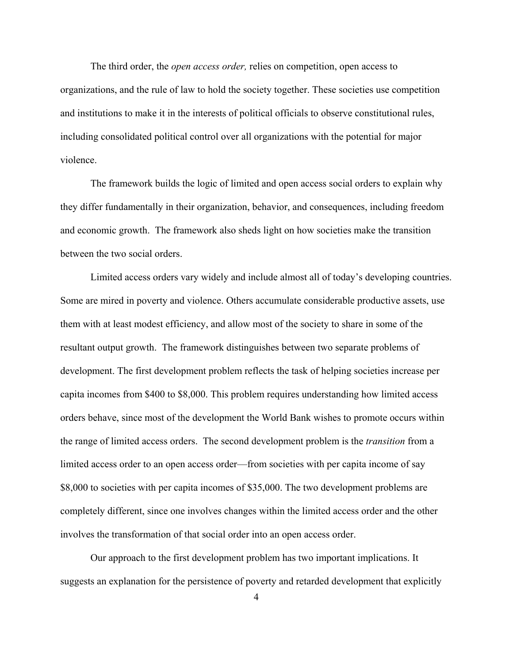The third order, the *open access order,* relies on competition, open access to organizations, and the rule of law to hold the society together. These societies use competition and institutions to make it in the interests of political officials to observe constitutional rules, including consolidated political control over all organizations with the potential for major violence.

The framework builds the logic of limited and open access social orders to explain why they differ fundamentally in their organization, behavior, and consequences, including freedom and economic growth. The framework also sheds light on how societies make the transition between the two social orders.

Limited access orders vary widely and include almost all of today's developing countries. Some are mired in poverty and violence. Others accumulate considerable productive assets, use them with at least modest efficiency, and allow most of the society to share in some of the resultant output growth. The framework distinguishes between two separate problems of development. The first development problem reflects the task of helping societies increase per capita incomes from \$400 to \$8,000. This problem requires understanding how limited access orders behave, since most of the development the World Bank wishes to promote occurs within the range of limited access orders. The second development problem is the *transition* from a limited access order to an open access order—from societies with per capita income of say \$8,000 to societies with per capita incomes of \$35,000. The two development problems are completely different, since one involves changes within the limited access order and the other involves the transformation of that social order into an open access order.

Our approach to the first development problem has two important implications. It suggests an explanation for the persistence of poverty and retarded development that explicitly

<sup>4</sup>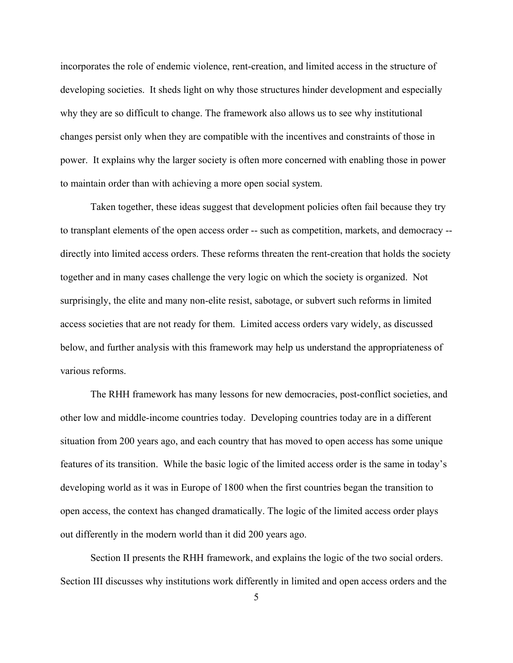incorporates the role of endemic violence, rent-creation, and limited access in the structure of developing societies. It sheds light on why those structures hinder development and especially why they are so difficult to change. The framework also allows us to see why institutional changes persist only when they are compatible with the incentives and constraints of those in power. It explains why the larger society is often more concerned with enabling those in power to maintain order than with achieving a more open social system.

Taken together, these ideas suggest that development policies often fail because they try to transplant elements of the open access order -- such as competition, markets, and democracy - directly into limited access orders. These reforms threaten the rent-creation that holds the society together and in many cases challenge the very logic on which the society is organized. Not surprisingly, the elite and many non-elite resist, sabotage, or subvert such reforms in limited access societies that are not ready for them. Limited access orders vary widely, as discussed below, and further analysis with this framework may help us understand the appropriateness of various reforms.

The RHH framework has many lessons for new democracies, post-conflict societies, and other low and middle-income countries today. Developing countries today are in a different situation from 200 years ago, and each country that has moved to open access has some unique features of its transition. While the basic logic of the limited access order is the same in today's developing world as it was in Europe of 1800 when the first countries began the transition to open access, the context has changed dramatically. The logic of the limited access order plays out differently in the modern world than it did 200 years ago.

Section II presents the RHH framework, and explains the logic of the two social orders. Section III discusses why institutions work differently in limited and open access orders and the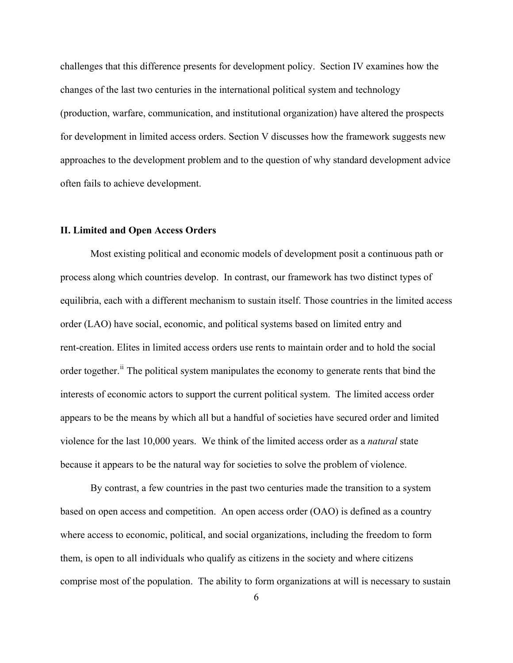challenges that this difference presents for development policy. Section IV examines how the changes of the last two centuries in the international political system and technology (production, warfare, communication, and institutional organization) have altered the prospects for development in limited access orders. Section V discusses how the framework suggests new approaches to the development problem and to the question of why standard development advice often fails to achieve development.

## **II. Limited and Open Access Orders**

Most existing political and economic models of development posit a continuous path or process along which countries develop. In contrast, our framework has two distinct types of equilibria, each with a different mechanism to sustain itself. Those countries in the limited access order (LAO) have social, economic, and political systems based on limited entry and rent-creation. Elites in limited access orders use rents to maintain order and to hold the social order together.<sup>[ii](#page-49-1)</sup> The political system manipulates the economy to generate rents that bind the interests of economic actors to support the current political system. The limited access order appears to be the means by which all but a handful of societies have secured order and limited violence for the last 10,000 years. We think of the limited access order as a *natural* state because it appears to be the natural way for societies to solve the problem of violence.

By contrast, a few countries in the past two centuries made the transition to a system based on open access and competition. An open access order (OAO) is defined as a country where access to economic, political, and social organizations, including the freedom to form them, is open to all individuals who qualify as citizens in the society and where citizens comprise most of the population. The ability to form organizations at will is necessary to sustain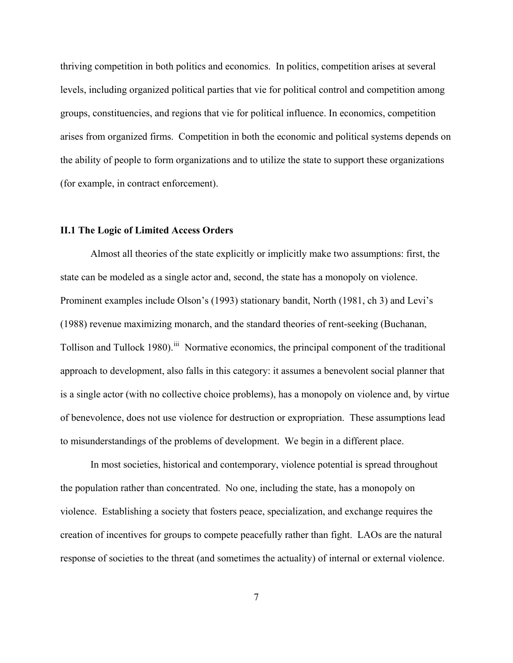thriving competition in both politics and economics. In politics, competition arises at several levels, including organized political parties that vie for political control and competition among groups, constituencies, and regions that vie for political influence. In economics, competition arises from organized firms. Competition in both the economic and political systems depends on the ability of people to form organizations and to utilize the state to support these organizations (for example, in contract enforcement).

## **II.1 The Logic of Limited Access Orders**

Almost all theories of the state explicitly or implicitly make two assumptions: first, the state can be modeled as a single actor and, second, the state has a monopoly on violence. Prominent examples include Olson's (1993) stationary bandit, North (1981, ch 3) and Levi's (1988) revenue maximizing monarch, and the standard theories of rent-seeking (Buchanan, Tollison and Tullock 1980).<sup>[iii](#page-49-1)</sup> Normative economics, the principal component of the traditional approach to development, also falls in this category: it assumes a benevolent social planner that is a single actor (with no collective choice problems), has a monopoly on violence and, by virtue of benevolence, does not use violence for destruction or expropriation. These assumptions lead to misunderstandings of the problems of development. We begin in a different place.

 In most societies, historical and contemporary, violence potential is spread throughout the population rather than concentrated. No one, including the state, has a monopoly on violence. Establishing a society that fosters peace, specialization, and exchange requires the creation of incentives for groups to compete peacefully rather than fight. LAOs are the natural response of societies to the threat (and sometimes the actuality) of internal or external violence.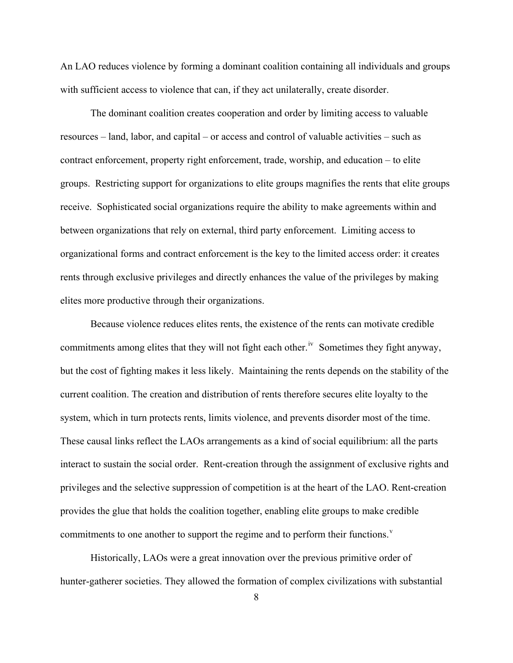An LAO reduces violence by forming a dominant coalition containing all individuals and groups with sufficient access to violence that can, if they act unilaterally, create disorder.

 The dominant coalition creates cooperation and order by limiting access to valuable resources – land, labor, and capital – or access and control of valuable activities – such as contract enforcement, property right enforcement, trade, worship, and education – to elite groups. Restricting support for organizations to elite groups magnifies the rents that elite groups receive. Sophisticated social organizations require the ability to make agreements within and between organizations that rely on external, third party enforcement. Limiting access to organizational forms and contract enforcement is the key to the limited access order: it creates rents through exclusive privileges and directly enhances the value of the privileges by making elites more productive through their organizations.

Because violence reduces elites rents, the existence of the rents can motivate credible commitments among elites that they will not fight each other.<sup>[iv](#page-49-1)</sup> Sometimes they fight anyway, but the cost of fighting makes it less likely. Maintaining the rents depends on the stability of the current coalition. The creation and distribution of rents therefore secures elite loyalty to the system, which in turn protects rents, limits violence, and prevents disorder most of the time. These causal links reflect the LAOs arrangements as a kind of social equilibrium: all the parts interact to sustain the social order. Rent-creation through the assignment of exclusive rights and privileges and the selective suppression of competition is at the heart of the LAO. Rent-creation provides the glue that holds the coalition together, enabling elite groups to make credible commitments to one another to support the regime and to perform their functions. $v$ 

 Historically, LAOs were a great innovation over the previous primitive order of hunter-gatherer societies. They allowed the formation of complex civilizations with substantial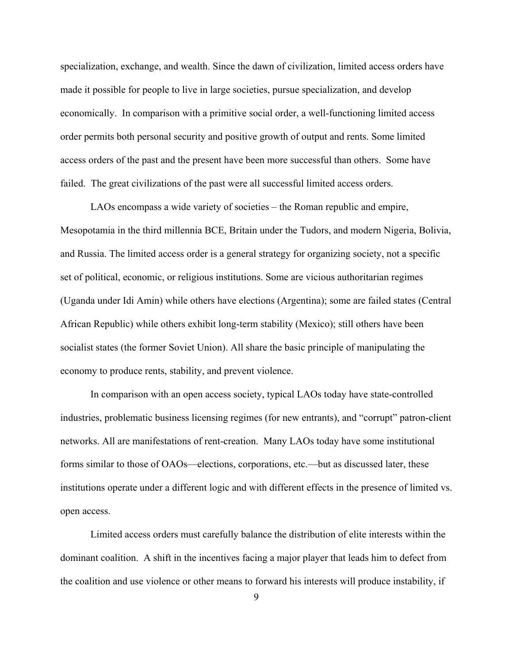specialization, exchange, and wealth. Since the dawn of civilization, limited access orders have made it possible for people to live in large societies, pursue specialization, and develop economically. In comparison with a primitive social order, a well-functioning limited access order permits both personal security and positive growth of output and rents. Some limited access orders of the past and the present have been more successful than others. Some have failed. The great civilizations of the past were all successful limited access orders.

 LAOs encompass a wide variety of societies – the Roman republic and empire, Mesopotamia in the third millennia BCE, Britain under the Tudors, and modern Nigeria, Bolivia, and Russia. The limited access order is a general strategy for organizing society, not a specific set of political, economic, or religious institutions. Some are vicious authoritarian regimes (Uganda under Idi Amin) while others have elections (Argentina); some are failed states (Central African Republic) while others exhibit long-term stability (Mexico); still others have been socialist states (the former Soviet Union). All share the basic principle of manipulating the economy to produce rents, stability, and prevent violence.

 In comparison with an open access society, typical LAOs today have state-controlled industries, problematic business licensing regimes (for new entrants), and "corrupt" patron-client networks. All are manifestations of rent-creation. Many LAOs today have some institutional forms similar to those of OAOs—elections, corporations, etc.—but as discussed later, these institutions operate under a different logic and with different effects in the presence of limited vs. open access.

 Limited access orders must carefully balance the distribution of elite interests within the dominant coalition. A shift in the incentives facing a major player that leads him to defect from the coalition and use violence or other means to forward his interests will produce instability, if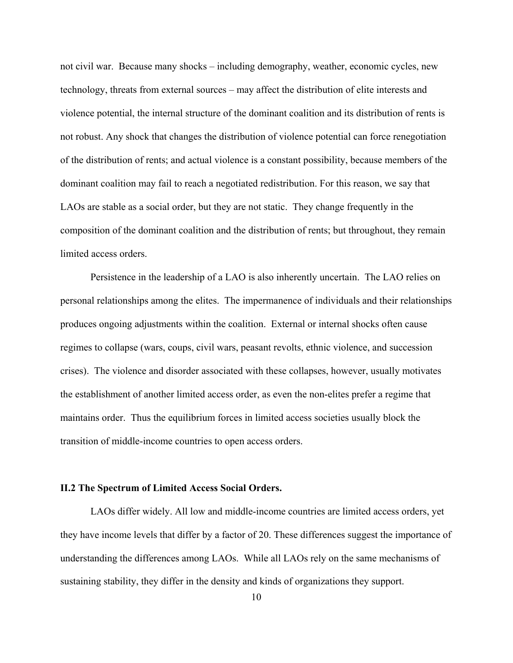not civil war. Because many shocks – including demography, weather, economic cycles, new technology, threats from external sources – may affect the distribution of elite interests and violence potential, the internal structure of the dominant coalition and its distribution of rents is not robust. Any shock that changes the distribution of violence potential can force renegotiation of the distribution of rents; and actual violence is a constant possibility, because members of the dominant coalition may fail to reach a negotiated redistribution. For this reason, we say that LAOs are stable as a social order, but they are not static. They change frequently in the composition of the dominant coalition and the distribution of rents; but throughout, they remain limited access orders.

Persistence in the leadership of a LAO is also inherently uncertain. The LAO relies on personal relationships among the elites. The impermanence of individuals and their relationships produces ongoing adjustments within the coalition. External or internal shocks often cause regimes to collapse (wars, coups, civil wars, peasant revolts, ethnic violence, and succession crises). The violence and disorder associated with these collapses, however, usually motivates the establishment of another limited access order, as even the non-elites prefer a regime that maintains order. Thus the equilibrium forces in limited access societies usually block the transition of middle-income countries to open access orders.

## **II.2 The Spectrum of Limited Access Social Orders.**

LAOs differ widely. All low and middle-income countries are limited access orders, yet they have income levels that differ by a factor of 20. These differences suggest the importance of understanding the differences among LAOs. While all LAOs rely on the same mechanisms of sustaining stability, they differ in the density and kinds of organizations they support.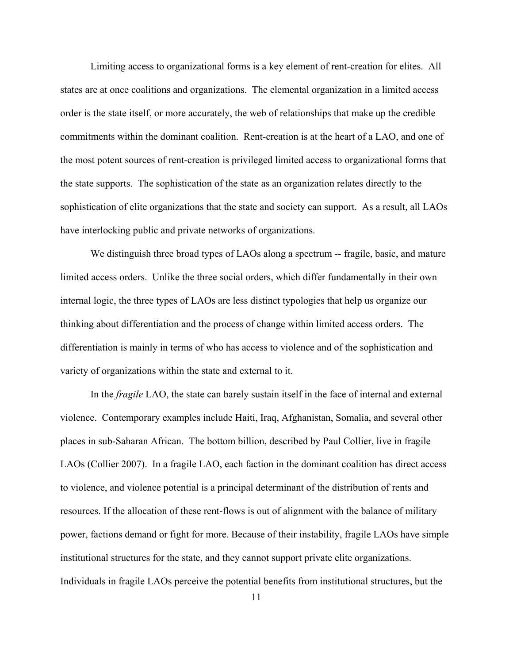Limiting access to organizational forms is a key element of rent-creation for elites. All states are at once coalitions and organizations. The elemental organization in a limited access order is the state itself, or more accurately, the web of relationships that make up the credible commitments within the dominant coalition. Rent-creation is at the heart of a LAO, and one of the most potent sources of rent-creation is privileged limited access to organizational forms that the state supports. The sophistication of the state as an organization relates directly to the sophistication of elite organizations that the state and society can support. As a result, all LAOs have interlocking public and private networks of organizations.

We distinguish three broad types of LAOs along a spectrum -- fragile, basic, and mature limited access orders. Unlike the three social orders, which differ fundamentally in their own internal logic, the three types of LAOs are less distinct typologies that help us organize our thinking about differentiation and the process of change within limited access orders. The differentiation is mainly in terms of who has access to violence and of the sophistication and variety of organizations within the state and external to it.

In the *fragile* LAO, the state can barely sustain itself in the face of internal and external violence. Contemporary examples include Haiti, Iraq, Afghanistan, Somalia, and several other places in sub-Saharan African. The bottom billion, described by Paul Collier, live in fragile LAOs (Collier 2007). In a fragile LAO, each faction in the dominant coalition has direct access to violence, and violence potential is a principal determinant of the distribution of rents and resources. If the allocation of these rent-flows is out of alignment with the balance of military power, factions demand or fight for more. Because of their instability, fragile LAOs have simple institutional structures for the state, and they cannot support private elite organizations. Individuals in fragile LAOs perceive the potential benefits from institutional structures, but the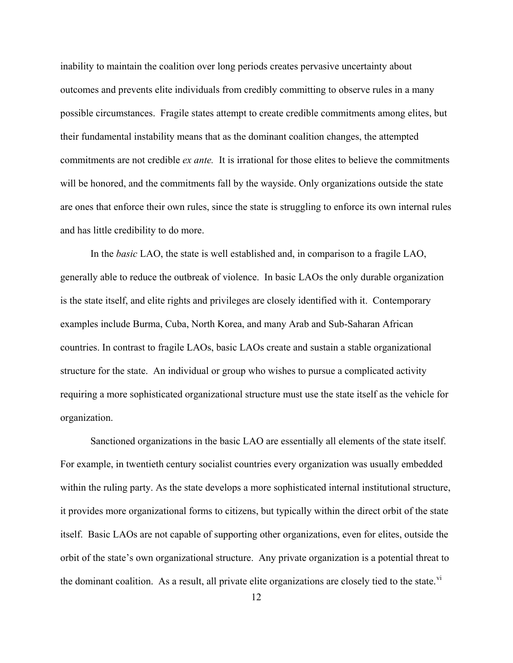inability to maintain the coalition over long periods creates pervasive uncertainty about outcomes and prevents elite individuals from credibly committing to observe rules in a many possible circumstances. Fragile states attempt to create credible commitments among elites, but their fundamental instability means that as the dominant coalition changes, the attempted commitments are not credible *ex ante.* It is irrational for those elites to believe the commitments will be honored, and the commitments fall by the wayside. Only organizations outside the state are ones that enforce their own rules, since the state is struggling to enforce its own internal rules and has little credibility to do more.

In the *basic* LAO, the state is well established and, in comparison to a fragile LAO, generally able to reduce the outbreak of violence. In basic LAOs the only durable organization is the state itself, and elite rights and privileges are closely identified with it. Contemporary examples include Burma, Cuba, North Korea, and many Arab and Sub-Saharan African countries. In contrast to fragile LAOs, basic LAOs create and sustain a stable organizational structure for the state. An individual or group who wishes to pursue a complicated activity requiring a more sophisticated organizational structure must use the state itself as the vehicle for organization.

Sanctioned organizations in the basic LAO are essentially all elements of the state itself. For example, in twentieth century socialist countries every organization was usually embedded within the ruling party. As the state develops a more sophisticated internal institutional structure, it provides more organizational forms to citizens, but typically within the direct orbit of the state itself. Basic LAOs are not capable of supporting other organizations, even for elites, outside the orbit of the state's own organizational structure. Any private organization is a potential threat to the dominant coalition. As a result, all private elite organizations are closely tied to the state.<sup>[vi](#page-49-1)</sup>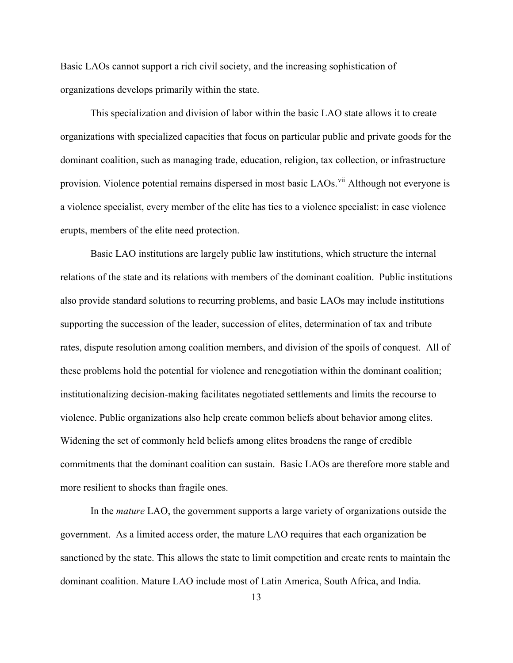Basic LAOs cannot support a rich civil society, and the increasing sophistication of organizations develops primarily within the state.

This specialization and division of labor within the basic LAO state allows it to create organizations with specialized capacities that focus on particular public and private goods for the dominant coalition, such as managing trade, education, religion, tax collection, or infrastructure provision. Violence potential remains dispersed in most basic LAOs.<sup>[vii](#page-49-1)</sup> Although not everyone is a violence specialist, every member of the elite has ties to a violence specialist: in case violence erupts, members of the elite need protection.

Basic LAO institutions are largely public law institutions, which structure the internal relations of the state and its relations with members of the dominant coalition. Public institutions also provide standard solutions to recurring problems, and basic LAOs may include institutions supporting the succession of the leader, succession of elites, determination of tax and tribute rates, dispute resolution among coalition members, and division of the spoils of conquest. All of these problems hold the potential for violence and renegotiation within the dominant coalition; institutionalizing decision-making facilitates negotiated settlements and limits the recourse to violence. Public organizations also help create common beliefs about behavior among elites. Widening the set of commonly held beliefs among elites broadens the range of credible commitments that the dominant coalition can sustain. Basic LAOs are therefore more stable and more resilient to shocks than fragile ones.

In the *mature* LAO, the government supports a large variety of organizations outside the government. As a limited access order, the mature LAO requires that each organization be sanctioned by the state. This allows the state to limit competition and create rents to maintain the dominant coalition. Mature LAO include most of Latin America, South Africa, and India.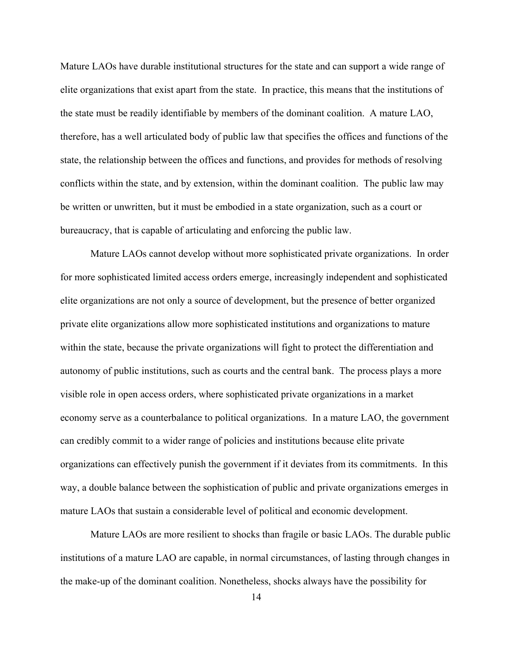Mature LAOs have durable institutional structures for the state and can support a wide range of elite organizations that exist apart from the state. In practice, this means that the institutions of the state must be readily identifiable by members of the dominant coalition. A mature LAO, therefore, has a well articulated body of public law that specifies the offices and functions of the state, the relationship between the offices and functions, and provides for methods of resolving conflicts within the state, and by extension, within the dominant coalition. The public law may be written or unwritten, but it must be embodied in a state organization, such as a court or bureaucracy, that is capable of articulating and enforcing the public law.

Mature LAOs cannot develop without more sophisticated private organizations. In order for more sophisticated limited access orders emerge, increasingly independent and sophisticated elite organizations are not only a source of development, but the presence of better organized private elite organizations allow more sophisticated institutions and organizations to mature within the state, because the private organizations will fight to protect the differentiation and autonomy of public institutions, such as courts and the central bank. The process plays a more visible role in open access orders, where sophisticated private organizations in a market economy serve as a counterbalance to political organizations. In a mature LAO, the government can credibly commit to a wider range of policies and institutions because elite private organizations can effectively punish the government if it deviates from its commitments. In this way, a double balance between the sophistication of public and private organizations emerges in mature LAOs that sustain a considerable level of political and economic development.

Mature LAOs are more resilient to shocks than fragile or basic LAOs. The durable public institutions of a mature LAO are capable, in normal circumstances, of lasting through changes in the make-up of the dominant coalition. Nonetheless, shocks always have the possibility for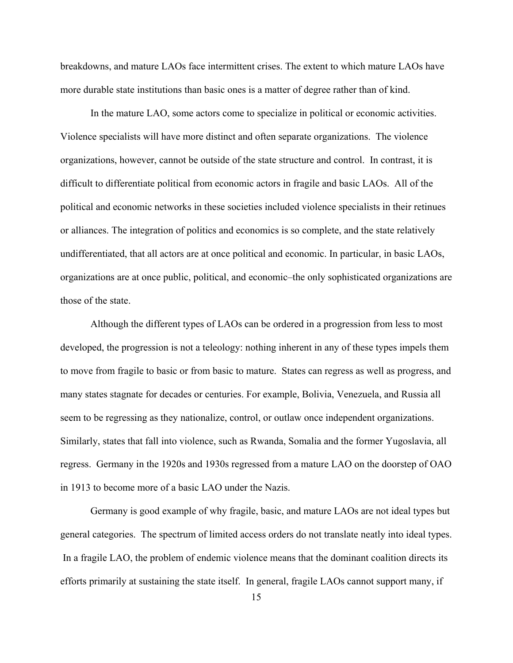breakdowns, and mature LAOs face intermittent crises. The extent to which mature LAOs have more durable state institutions than basic ones is a matter of degree rather than of kind.

In the mature LAO, some actors come to specialize in political or economic activities. Violence specialists will have more distinct and often separate organizations. The violence organizations, however, cannot be outside of the state structure and control. In contrast, it is difficult to differentiate political from economic actors in fragile and basic LAOs. All of the political and economic networks in these societies included violence specialists in their retinues or alliances. The integration of politics and economics is so complete, and the state relatively undifferentiated, that all actors are at once political and economic. In particular, in basic LAOs, organizations are at once public, political, and economic–the only sophisticated organizations are those of the state.

Although the different types of LAOs can be ordered in a progression from less to most developed, the progression is not a teleology: nothing inherent in any of these types impels them to move from fragile to basic or from basic to mature. States can regress as well as progress, and many states stagnate for decades or centuries. For example, Bolivia, Venezuela, and Russia all seem to be regressing as they nationalize, control, or outlaw once independent organizations. Similarly, states that fall into violence, such as Rwanda, Somalia and the former Yugoslavia, all regress. Germany in the 1920s and 1930s regressed from a mature LAO on the doorstep of OAO in 1913 to become more of a basic LAO under the Nazis.

Germany is good example of why fragile, basic, and mature LAOs are not ideal types but general categories. The spectrum of limited access orders do not translate neatly into ideal types. In a fragile LAO, the problem of endemic violence means that the dominant coalition directs its efforts primarily at sustaining the state itself. In general, fragile LAOs cannot support many, if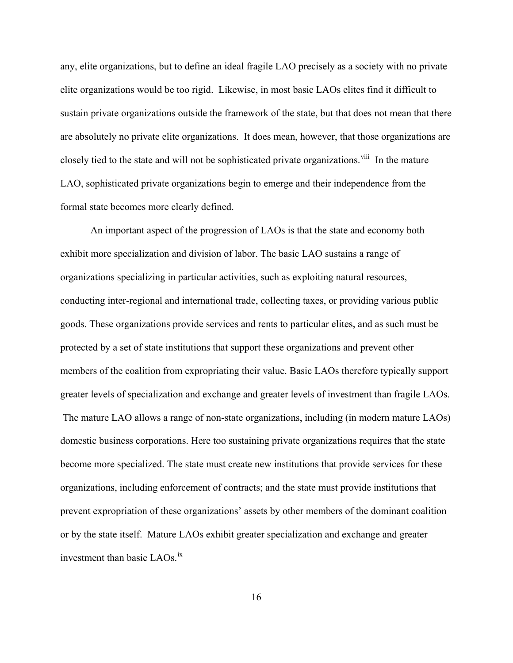any, elite organizations, but to define an ideal fragile LAO precisely as a society with no private elite organizations would be too rigid. Likewise, in most basic LAOs elites find it difficult to sustain private organizations outside the framework of the state, but that does not mean that there are absolutely no private elite organizations. It does mean, however, that those organizations are closely tied to the state and will not be sophisticated private organizations.<sup>[viii](#page-49-1)</sup> In the mature LAO, sophisticated private organizations begin to emerge and their independence from the formal state becomes more clearly defined.

An important aspect of the progression of LAOs is that the state and economy both exhibit more specialization and division of labor. The basic LAO sustains a range of organizations specializing in particular activities, such as exploiting natural resources, conducting inter-regional and international trade, collecting taxes, or providing various public goods. These organizations provide services and rents to particular elites, and as such must be protected by a set of state institutions that support these organizations and prevent other members of the coalition from expropriating their value. Basic LAOs therefore typically support greater levels of specialization and exchange and greater levels of investment than fragile LAOs. The mature LAO allows a range of non-state organizations, including (in modern mature LAOs) domestic business corporations. Here too sustaining private organizations requires that the state become more specialized. The state must create new institutions that provide services for these organizations, including enforcement of contracts; and the state must provide institutions that prevent expropriation of these organizations' assets by other members of the dominant coalition or by the state itself. Mature LAOs exhibit greater specialization and exchange and greater investment than basic LAOs.<sup>1X</sup>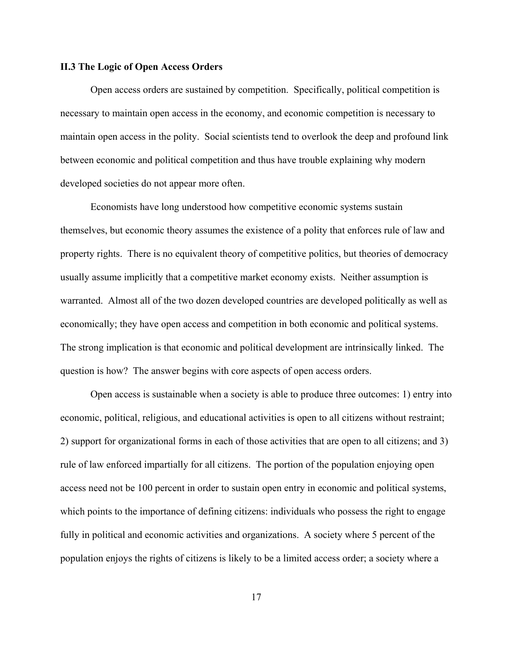## **II.3 The Logic of Open Access Orders**

Open access orders are sustained by competition. Specifically, political competition is necessary to maintain open access in the economy, and economic competition is necessary to maintain open access in the polity. Social scientists tend to overlook the deep and profound link between economic and political competition and thus have trouble explaining why modern developed societies do not appear more often.

Economists have long understood how competitive economic systems sustain themselves, but economic theory assumes the existence of a polity that enforces rule of law and property rights. There is no equivalent theory of competitive politics, but theories of democracy usually assume implicitly that a competitive market economy exists. Neither assumption is warranted. Almost all of the two dozen developed countries are developed politically as well as economically; they have open access and competition in both economic and political systems. The strong implication is that economic and political development are intrinsically linked. The question is how? The answer begins with core aspects of open access orders.

Open access is sustainable when a society is able to produce three outcomes: 1) entry into economic, political, religious, and educational activities is open to all citizens without restraint; 2) support for organizational forms in each of those activities that are open to all citizens; and 3) rule of law enforced impartially for all citizens. The portion of the population enjoying open access need not be 100 percent in order to sustain open entry in economic and political systems, which points to the importance of defining citizens: individuals who possess the right to engage fully in political and economic activities and organizations. A society where 5 percent of the population enjoys the rights of citizens is likely to be a limited access order; a society where a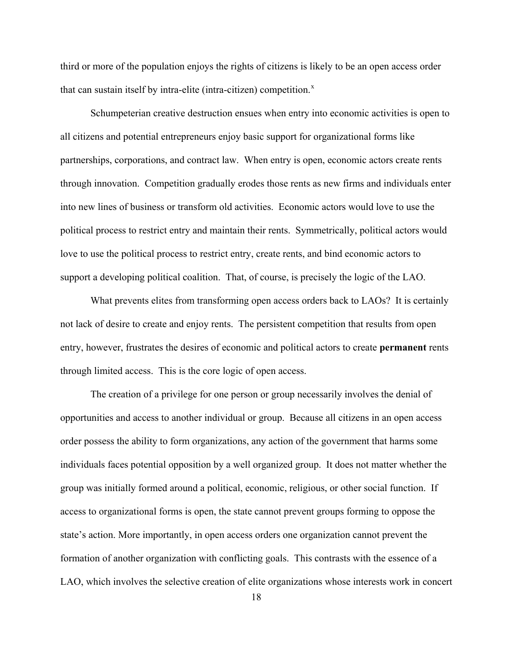third or more of the population enjoys the rights of citizens is likely to be an open access order that can sustain itself by intra-elite (intra-citizen) competition. $<sup>x</sup>$  $<sup>x</sup>$  $<sup>x</sup>$ </sup>

Schumpeterian creative destruction ensues when entry into economic activities is open to all citizens and potential entrepreneurs enjoy basic support for organizational forms like partnerships, corporations, and contract law. When entry is open, economic actors create rents through innovation. Competition gradually erodes those rents as new firms and individuals enter into new lines of business or transform old activities. Economic actors would love to use the political process to restrict entry and maintain their rents. Symmetrically, political actors would love to use the political process to restrict entry, create rents, and bind economic actors to support a developing political coalition. That, of course, is precisely the logic of the LAO.

What prevents elites from transforming open access orders back to LAOs? It is certainly not lack of desire to create and enjoy rents. The persistent competition that results from open entry, however, frustrates the desires of economic and political actors to create **permanent** rents through limited access. This is the core logic of open access.

The creation of a privilege for one person or group necessarily involves the denial of opportunities and access to another individual or group. Because all citizens in an open access order possess the ability to form organizations, any action of the government that harms some individuals faces potential opposition by a well organized group. It does not matter whether the group was initially formed around a political, economic, religious, or other social function. If access to organizational forms is open, the state cannot prevent groups forming to oppose the state's action. More importantly, in open access orders one organization cannot prevent the formation of another organization with conflicting goals. This contrasts with the essence of a LAO, which involves the selective creation of elite organizations whose interests work in concert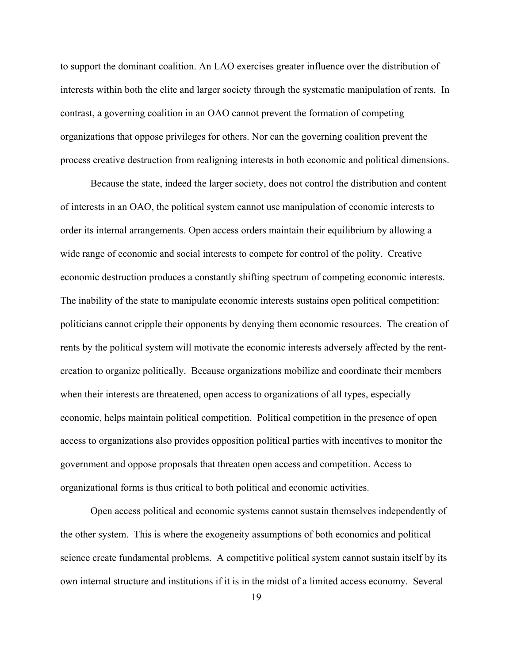to support the dominant coalition. An LAO exercises greater influence over the distribution of interests within both the elite and larger society through the systematic manipulation of rents. In contrast, a governing coalition in an OAO cannot prevent the formation of competing organizations that oppose privileges for others. Nor can the governing coalition prevent the process creative destruction from realigning interests in both economic and political dimensions.

Because the state, indeed the larger society, does not control the distribution and content of interests in an OAO, the political system cannot use manipulation of economic interests to order its internal arrangements. Open access orders maintain their equilibrium by allowing a wide range of economic and social interests to compete for control of the polity. Creative economic destruction produces a constantly shifting spectrum of competing economic interests. The inability of the state to manipulate economic interests sustains open political competition: politicians cannot cripple their opponents by denying them economic resources. The creation of rents by the political system will motivate the economic interests adversely affected by the rentcreation to organize politically. Because organizations mobilize and coordinate their members when their interests are threatened, open access to organizations of all types, especially economic, helps maintain political competition. Political competition in the presence of open access to organizations also provides opposition political parties with incentives to monitor the government and oppose proposals that threaten open access and competition. Access to organizational forms is thus critical to both political and economic activities.

Open access political and economic systems cannot sustain themselves independently of the other system. This is where the exogeneity assumptions of both economics and political science create fundamental problems. A competitive political system cannot sustain itself by its own internal structure and institutions if it is in the midst of a limited access economy. Several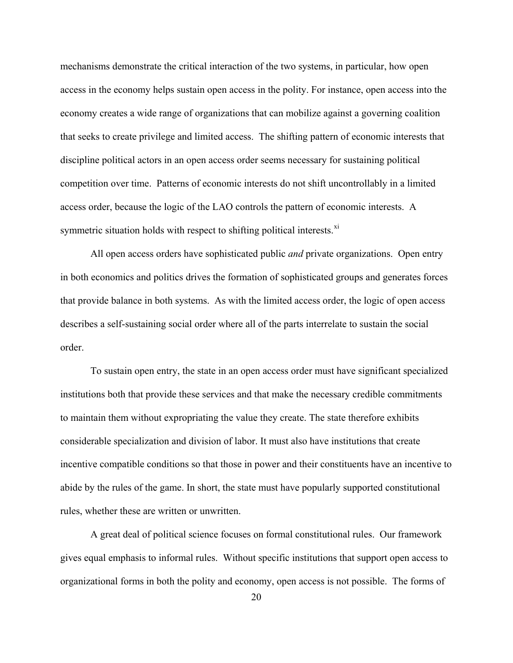mechanisms demonstrate the critical interaction of the two systems, in particular, how open access in the economy helps sustain open access in the polity. For instance, open access into the economy creates a wide range of organizations that can mobilize against a governing coalition that seeks to create privilege and limited access. The shifting pattern of economic interests that discipline political actors in an open access order seems necessary for sustaining political competition over time. Patterns of economic interests do not shift uncontrollably in a limited access order, because the logic of the LAO controls the pattern of economic interests. A symmetric situation holds with respect to shifting political interests.<sup>[xi](#page-49-1)</sup>

All open access orders have sophisticated public *and* private organizations. Open entry in both economics and politics drives the formation of sophisticated groups and generates forces that provide balance in both systems. As with the limited access order, the logic of open access describes a self-sustaining social order where all of the parts interrelate to sustain the social order.

To sustain open entry, the state in an open access order must have significant specialized institutions both that provide these services and that make the necessary credible commitments to maintain them without expropriating the value they create. The state therefore exhibits considerable specialization and division of labor. It must also have institutions that create incentive compatible conditions so that those in power and their constituents have an incentive to abide by the rules of the game. In short, the state must have popularly supported constitutional rules, whether these are written or unwritten.

A great deal of political science focuses on formal constitutional rules. Our framework gives equal emphasis to informal rules. Without specific institutions that support open access to organizational forms in both the polity and economy, open access is not possible. The forms of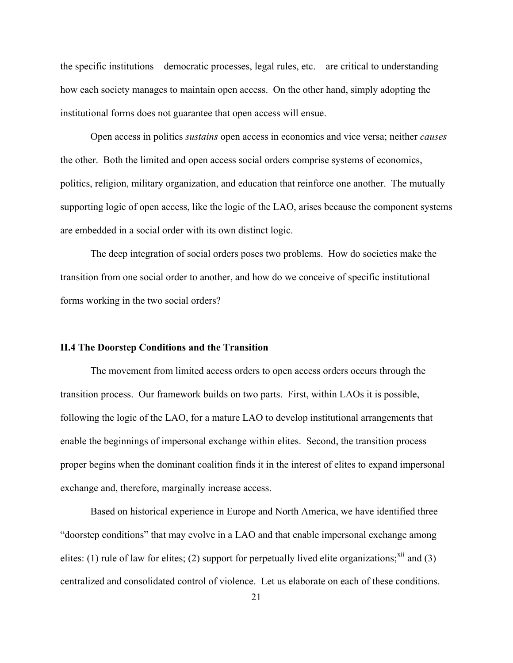the specific institutions – democratic processes, legal rules, etc. – are critical to understanding how each society manages to maintain open access. On the other hand, simply adopting the institutional forms does not guarantee that open access will ensue.

Open access in politics *sustains* open access in economics and vice versa; neither *causes* the other. Both the limited and open access social orders comprise systems of economics, politics, religion, military organization, and education that reinforce one another. The mutually supporting logic of open access, like the logic of the LAO, arises because the component systems are embedded in a social order with its own distinct logic.

The deep integration of social orders poses two problems. How do societies make the transition from one social order to another, and how do we conceive of specific institutional forms working in the two social orders?

#### **II.4 The Doorstep Conditions and the Transition**

The movement from limited access orders to open access orders occurs through the transition process. Our framework builds on two parts. First, within LAOs it is possible, following the logic of the LAO, for a mature LAO to develop institutional arrangements that enable the beginnings of impersonal exchange within elites. Second, the transition process proper begins when the dominant coalition finds it in the interest of elites to expand impersonal exchange and, therefore, marginally increase access.

Based on historical experience in Europe and North America, we have identified three "doorstep conditions" that may evolve in a LAO and that enable impersonal exchange among elites: (1) rule of law for elites; (2) support for perpetually lived elite organizations;<sup>[xii](#page-49-1)</sup> and (3) centralized and consolidated control of violence. Let us elaborate on each of these conditions.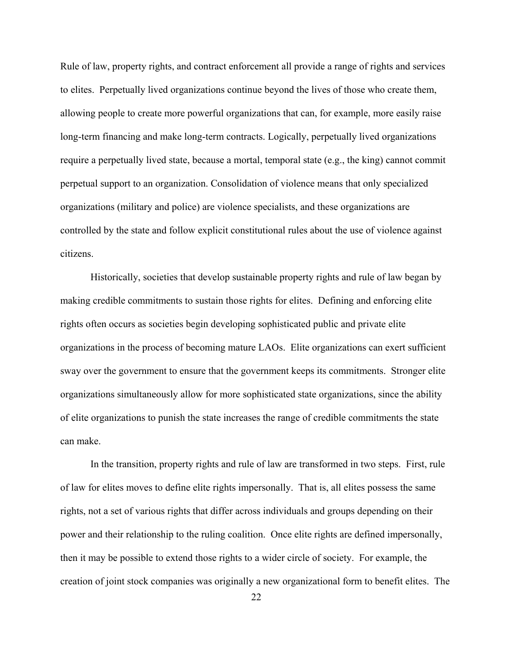Rule of law, property rights, and contract enforcement all provide a range of rights and services to elites. Perpetually lived organizations continue beyond the lives of those who create them, allowing people to create more powerful organizations that can, for example, more easily raise long-term financing and make long-term contracts. Logically, perpetually lived organizations require a perpetually lived state, because a mortal, temporal state (e.g., the king) cannot commit perpetual support to an organization. Consolidation of violence means that only specialized organizations (military and police) are violence specialists, and these organizations are controlled by the state and follow explicit constitutional rules about the use of violence against citizens.

Historically, societies that develop sustainable property rights and rule of law began by making credible commitments to sustain those rights for elites. Defining and enforcing elite rights often occurs as societies begin developing sophisticated public and private elite organizations in the process of becoming mature LAOs. Elite organizations can exert sufficient sway over the government to ensure that the government keeps its commitments. Stronger elite organizations simultaneously allow for more sophisticated state organizations, since the ability of elite organizations to punish the state increases the range of credible commitments the state can make.

In the transition, property rights and rule of law are transformed in two steps. First, rule of law for elites moves to define elite rights impersonally. That is, all elites possess the same rights, not a set of various rights that differ across individuals and groups depending on their power and their relationship to the ruling coalition. Once elite rights are defined impersonally, then it may be possible to extend those rights to a wider circle of society. For example, the creation of joint stock companies was originally a new organizational form to benefit elites. The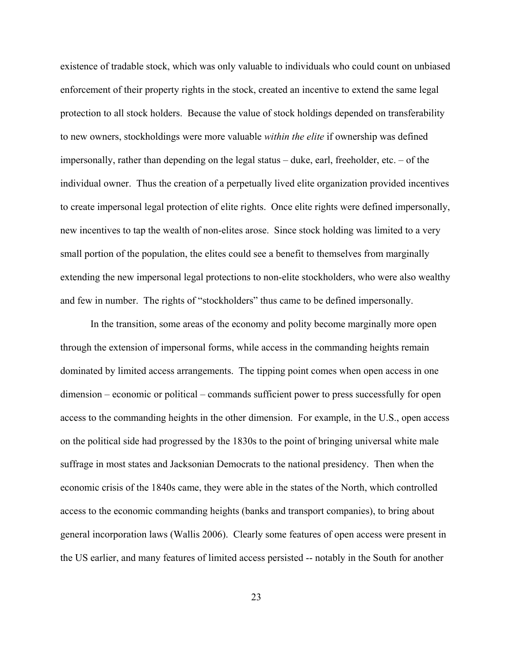existence of tradable stock, which was only valuable to individuals who could count on unbiased enforcement of their property rights in the stock, created an incentive to extend the same legal protection to all stock holders. Because the value of stock holdings depended on transferability to new owners, stockholdings were more valuable *within the elite* if ownership was defined impersonally, rather than depending on the legal status – duke, earl, freeholder, etc. – of the individual owner. Thus the creation of a perpetually lived elite organization provided incentives to create impersonal legal protection of elite rights. Once elite rights were defined impersonally, new incentives to tap the wealth of non-elites arose. Since stock holding was limited to a very small portion of the population, the elites could see a benefit to themselves from marginally extending the new impersonal legal protections to non-elite stockholders, who were also wealthy and few in number. The rights of "stockholders" thus came to be defined impersonally.

In the transition, some areas of the economy and polity become marginally more open through the extension of impersonal forms, while access in the commanding heights remain dominated by limited access arrangements. The tipping point comes when open access in one dimension – economic or political – commands sufficient power to press successfully for open access to the commanding heights in the other dimension. For example, in the U.S., open access on the political side had progressed by the 1830s to the point of bringing universal white male suffrage in most states and Jacksonian Democrats to the national presidency. Then when the economic crisis of the 1840s came, they were able in the states of the North, which controlled access to the economic commanding heights (banks and transport companies), to bring about general incorporation laws (Wallis 2006). Clearly some features of open access were present in the US earlier, and many features of limited access persisted -- notably in the South for another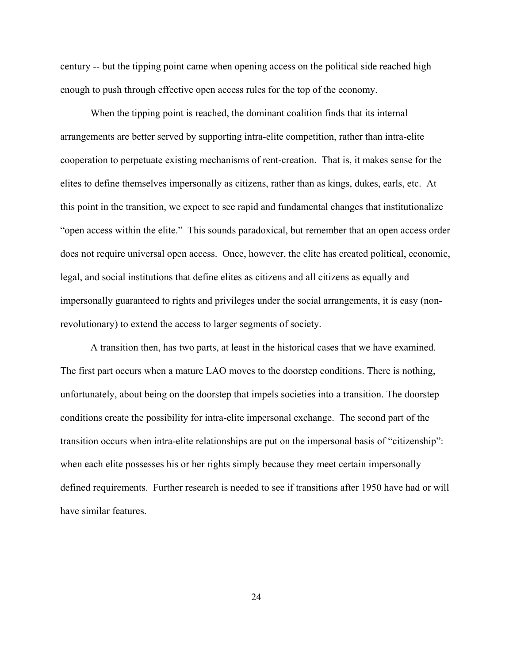century -- but the tipping point came when opening access on the political side reached high enough to push through effective open access rules for the top of the economy.

When the tipping point is reached, the dominant coalition finds that its internal arrangements are better served by supporting intra-elite competition, rather than intra-elite cooperation to perpetuate existing mechanisms of rent-creation. That is, it makes sense for the elites to define themselves impersonally as citizens, rather than as kings, dukes, earls, etc. At this point in the transition, we expect to see rapid and fundamental changes that institutionalize "open access within the elite." This sounds paradoxical, but remember that an open access order does not require universal open access. Once, however, the elite has created political, economic, legal, and social institutions that define elites as citizens and all citizens as equally and impersonally guaranteed to rights and privileges under the social arrangements, it is easy (nonrevolutionary) to extend the access to larger segments of society.

A transition then, has two parts, at least in the historical cases that we have examined. The first part occurs when a mature LAO moves to the doorstep conditions. There is nothing, unfortunately, about being on the doorstep that impels societies into a transition. The doorstep conditions create the possibility for intra-elite impersonal exchange. The second part of the transition occurs when intra-elite relationships are put on the impersonal basis of "citizenship": when each elite possesses his or her rights simply because they meet certain impersonally defined requirements. Further research is needed to see if transitions after 1950 have had or will have similar features.

24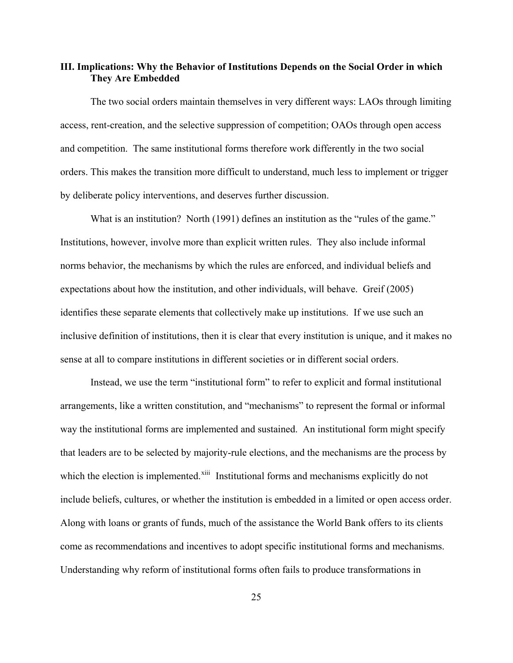## **III. Implications: Why the Behavior of Institutions Depends on the Social Order in which They Are Embedded**

The two social orders maintain themselves in very different ways: LAOs through limiting access, rent-creation, and the selective suppression of competition; OAOs through open access and competition. The same institutional forms therefore work differently in the two social orders. This makes the transition more difficult to understand, much less to implement or trigger by deliberate policy interventions, and deserves further discussion.

What is an institution? North (1991) defines an institution as the "rules of the game." Institutions, however, involve more than explicit written rules. They also include informal norms behavior, the mechanisms by which the rules are enforced, and individual beliefs and expectations about how the institution, and other individuals, will behave. Greif (2005) identifies these separate elements that collectively make up institutions. If we use such an inclusive definition of institutions, then it is clear that every institution is unique, and it makes no sense at all to compare institutions in different societies or in different social orders.

Instead, we use the term "institutional form" to refer to explicit and formal institutional arrangements, like a written constitution, and "mechanisms" to represent the formal or informal way the institutional forms are implemented and sustained. An institutional form might specify that leaders are to be selected by majority-rule elections, and the mechanisms are the process by which the election is implemented.<sup>[xiii](#page-49-1)</sup> Institutional forms and mechanisms explicitly do not include beliefs, cultures, or whether the institution is embedded in a limited or open access order. Along with loans or grants of funds, much of the assistance the World Bank offers to its clients come as recommendations and incentives to adopt specific institutional forms and mechanisms. Understanding why reform of institutional forms often fails to produce transformations in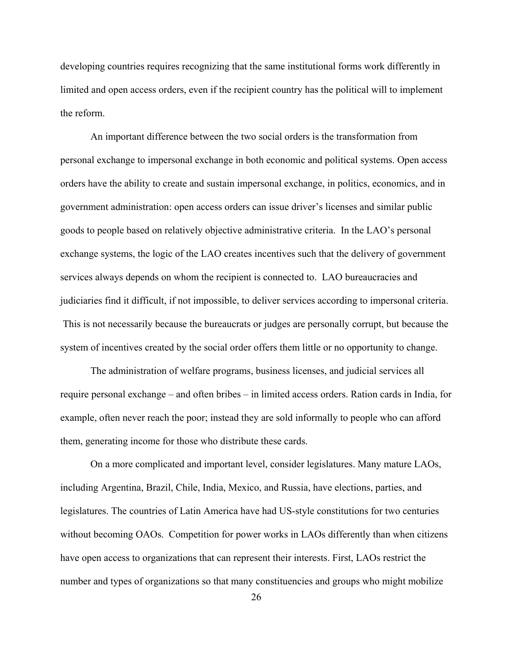developing countries requires recognizing that the same institutional forms work differently in limited and open access orders, even if the recipient country has the political will to implement the reform.

An important difference between the two social orders is the transformation from personal exchange to impersonal exchange in both economic and political systems. Open access orders have the ability to create and sustain impersonal exchange, in politics, economics, and in government administration: open access orders can issue driver's licenses and similar public goods to people based on relatively objective administrative criteria. In the LAO's personal exchange systems, the logic of the LAO creates incentives such that the delivery of government services always depends on whom the recipient is connected to. LAO bureaucracies and judiciaries find it difficult, if not impossible, to deliver services according to impersonal criteria. This is not necessarily because the bureaucrats or judges are personally corrupt, but because the system of incentives created by the social order offers them little or no opportunity to change.

The administration of welfare programs, business licenses, and judicial services all require personal exchange – and often bribes – in limited access orders. Ration cards in India, for example, often never reach the poor; instead they are sold informally to people who can afford them, generating income for those who distribute these cards.

On a more complicated and important level, consider legislatures. Many mature LAOs, including Argentina, Brazil, Chile, India, Mexico, and Russia, have elections, parties, and legislatures. The countries of Latin America have had US-style constitutions for two centuries without becoming OAOs. Competition for power works in LAOs differently than when citizens have open access to organizations that can represent their interests. First, LAOs restrict the number and types of organizations so that many constituencies and groups who might mobilize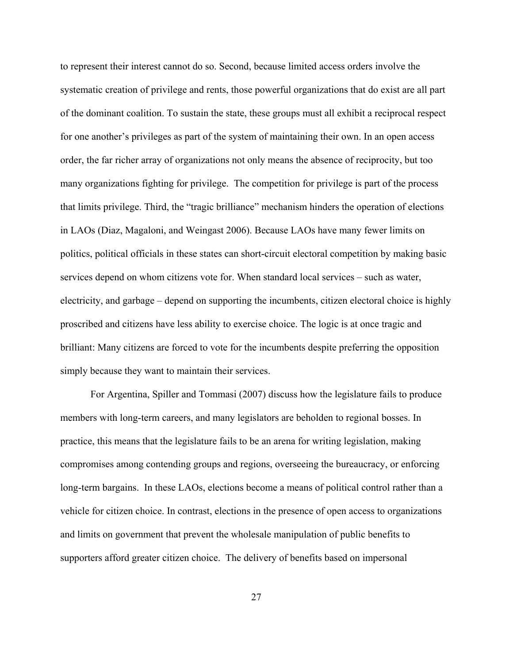to represent their interest cannot do so. Second, because limited access orders involve the systematic creation of privilege and rents, those powerful organizations that do exist are all part of the dominant coalition. To sustain the state, these groups must all exhibit a reciprocal respect for one another's privileges as part of the system of maintaining their own. In an open access order, the far richer array of organizations not only means the absence of reciprocity, but too many organizations fighting for privilege. The competition for privilege is part of the process that limits privilege. Third, the "tragic brilliance" mechanism hinders the operation of elections in LAOs (Diaz, Magaloni, and Weingast 2006). Because LAOs have many fewer limits on politics, political officials in these states can short-circuit electoral competition by making basic services depend on whom citizens vote for. When standard local services – such as water, electricity, and garbage – depend on supporting the incumbents, citizen electoral choice is highly proscribed and citizens have less ability to exercise choice. The logic is at once tragic and brilliant: Many citizens are forced to vote for the incumbents despite preferring the opposition simply because they want to maintain their services.

For Argentina, Spiller and Tommasi (2007) discuss how the legislature fails to produce members with long-term careers, and many legislators are beholden to regional bosses. In practice, this means that the legislature fails to be an arena for writing legislation, making compromises among contending groups and regions, overseeing the bureaucracy, or enforcing long-term bargains. In these LAOs, elections become a means of political control rather than a vehicle for citizen choice. In contrast, elections in the presence of open access to organizations and limits on government that prevent the wholesale manipulation of public benefits to supporters afford greater citizen choice. The delivery of benefits based on impersonal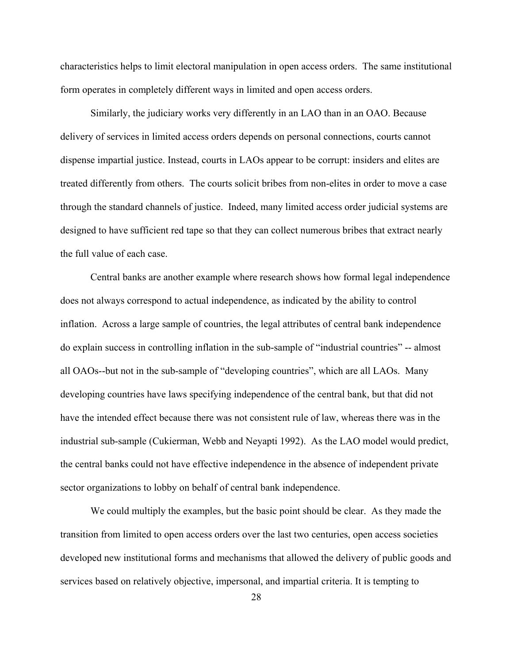characteristics helps to limit electoral manipulation in open access orders. The same institutional form operates in completely different ways in limited and open access orders.

Similarly, the judiciary works very differently in an LAO than in an OAO. Because delivery of services in limited access orders depends on personal connections, courts cannot dispense impartial justice. Instead, courts in LAOs appear to be corrupt: insiders and elites are treated differently from others. The courts solicit bribes from non-elites in order to move a case through the standard channels of justice. Indeed, many limited access order judicial systems are designed to have sufficient red tape so that they can collect numerous bribes that extract nearly the full value of each case.

Central banks are another example where research shows how formal legal independence does not always correspond to actual independence, as indicated by the ability to control inflation. Across a large sample of countries, the legal attributes of central bank independence do explain success in controlling inflation in the sub-sample of "industrial countries" -- almost all OAOs--but not in the sub-sample of "developing countries", which are all LAOs. Many developing countries have laws specifying independence of the central bank, but that did not have the intended effect because there was not consistent rule of law, whereas there was in the industrial sub-sample (Cukierman, Webb and Neyapti 1992). As the LAO model would predict, the central banks could not have effective independence in the absence of independent private sector organizations to lobby on behalf of central bank independence.

We could multiply the examples, but the basic point should be clear. As they made the transition from limited to open access orders over the last two centuries, open access societies developed new institutional forms and mechanisms that allowed the delivery of public goods and services based on relatively objective, impersonal, and impartial criteria. It is tempting to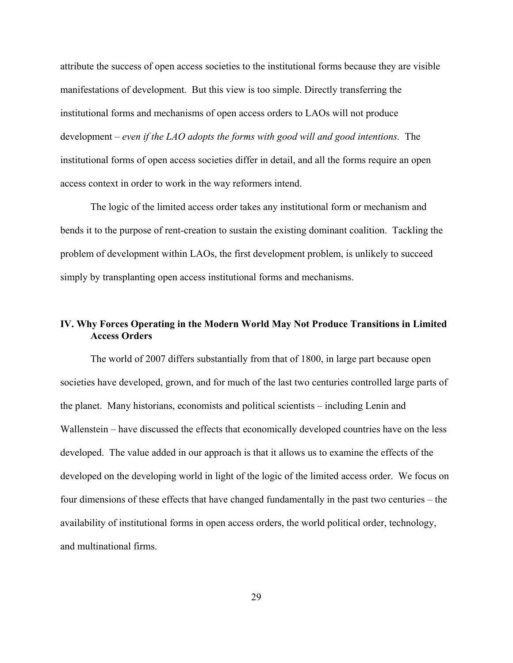attribute the success of open access societies to the institutional forms because they are visible manifestations of development. But this view is too simple. Directly transferring the institutional forms and mechanisms of open access orders to LAOs will not produce development – *even if the LAO adopts the forms with good will and good intentions.* The institutional forms of open access societies differ in detail, and all the forms require an open access context in order to work in the way reformers intend.

The logic of the limited access order takes any institutional form or mechanism and bends it to the purpose of rent-creation to sustain the existing dominant coalition. Tackling the problem of development within LAOs, the first development problem, is unlikely to succeed simply by transplanting open access institutional forms and mechanisms.

## **IV. Why Forces Operating in the Modern World May Not Produce Transitions in Limited Access Orders**

The world of 2007 differs substantially from that of 1800, in large part because open societies have developed, grown, and for much of the last two centuries controlled large parts of the planet. Many historians, economists and political scientists – including Lenin and Wallenstein – have discussed the effects that economically developed countries have on the less developed. The value added in our approach is that it allows us to examine the effects of the developed on the developing world in light of the logic of the limited access order. We focus on four dimensions of these effects that have changed fundamentally in the past two centuries – the availability of institutional forms in open access orders, the world political order, technology, and multinational firms.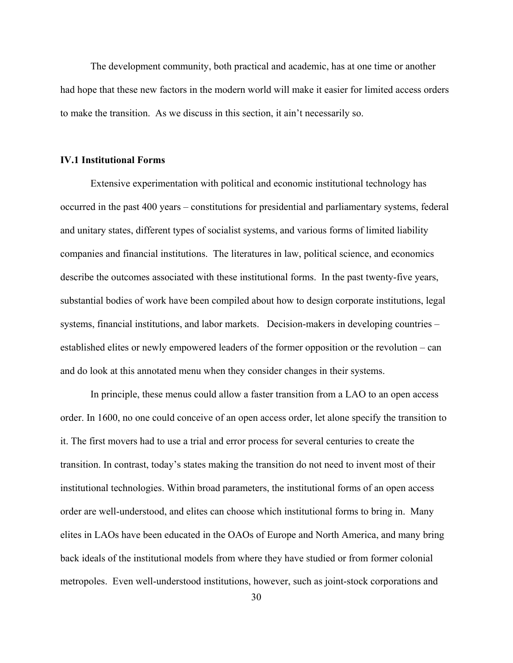The development community, both practical and academic, has at one time or another had hope that these new factors in the modern world will make it easier for limited access orders to make the transition. As we discuss in this section, it ain't necessarily so.

#### **IV.1 Institutional Forms**

Extensive experimentation with political and economic institutional technology has occurred in the past 400 years – constitutions for presidential and parliamentary systems, federal and unitary states, different types of socialist systems, and various forms of limited liability companies and financial institutions. The literatures in law, political science, and economics describe the outcomes associated with these institutional forms. In the past twenty-five years, substantial bodies of work have been compiled about how to design corporate institutions, legal systems, financial institutions, and labor markets. Decision-makers in developing countries – established elites or newly empowered leaders of the former opposition or the revolution – can and do look at this annotated menu when they consider changes in their systems.

In principle, these menus could allow a faster transition from a LAO to an open access order. In 1600, no one could conceive of an open access order, let alone specify the transition to it. The first movers had to use a trial and error process for several centuries to create the transition. In contrast, today's states making the transition do not need to invent most of their institutional technologies. Within broad parameters, the institutional forms of an open access order are well-understood, and elites can choose which institutional forms to bring in. Many elites in LAOs have been educated in the OAOs of Europe and North America, and many bring back ideals of the institutional models from where they have studied or from former colonial metropoles. Even well-understood institutions, however, such as joint-stock corporations and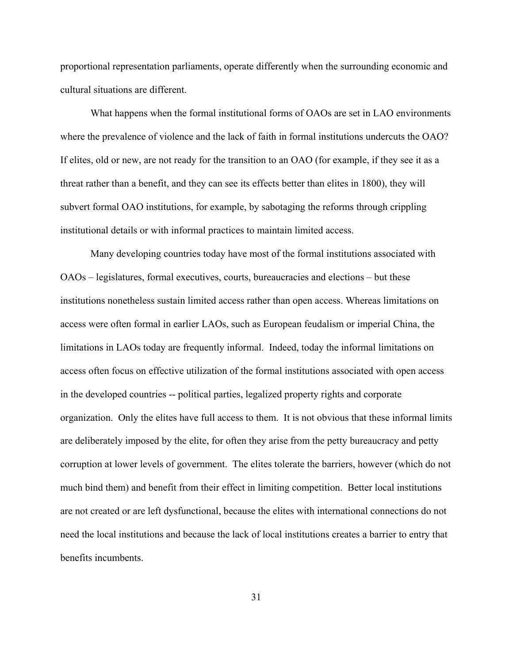proportional representation parliaments, operate differently when the surrounding economic and cultural situations are different.

What happens when the formal institutional forms of OAOs are set in LAO environments where the prevalence of violence and the lack of faith in formal institutions undercuts the OAO? If elites, old or new, are not ready for the transition to an OAO (for example, if they see it as a threat rather than a benefit, and they can see its effects better than elites in 1800), they will subvert formal OAO institutions, for example, by sabotaging the reforms through crippling institutional details or with informal practices to maintain limited access.

Many developing countries today have most of the formal institutions associated with OAOs – legislatures, formal executives, courts, bureaucracies and elections – but these institutions nonetheless sustain limited access rather than open access. Whereas limitations on access were often formal in earlier LAOs, such as European feudalism or imperial China, the limitations in LAOs today are frequently informal. Indeed, today the informal limitations on access often focus on effective utilization of the formal institutions associated with open access in the developed countries -- political parties, legalized property rights and corporate organization. Only the elites have full access to them. It is not obvious that these informal limits are deliberately imposed by the elite, for often they arise from the petty bureaucracy and petty corruption at lower levels of government. The elites tolerate the barriers, however (which do not much bind them) and benefit from their effect in limiting competition. Better local institutions are not created or are left dysfunctional, because the elites with international connections do not need the local institutions and because the lack of local institutions creates a barrier to entry that benefits incumbents.

31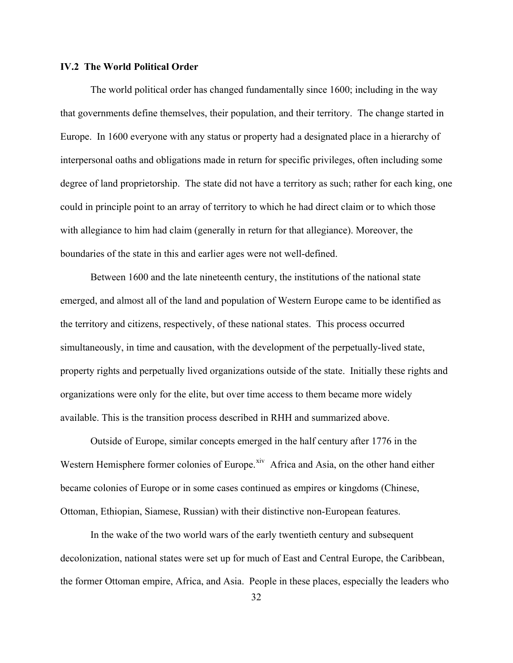## **IV.2 The World Political Order**

The world political order has changed fundamentally since 1600; including in the way that governments define themselves, their population, and their territory. The change started in Europe. In 1600 everyone with any status or property had a designated place in a hierarchy of interpersonal oaths and obligations made in return for specific privileges, often including some degree of land proprietorship. The state did not have a territory as such; rather for each king, one could in principle point to an array of territory to which he had direct claim or to which those with allegiance to him had claim (generally in return for that allegiance). Moreover, the boundaries of the state in this and earlier ages were not well-defined.

Between 1600 and the late nineteenth century, the institutions of the national state emerged, and almost all of the land and population of Western Europe came to be identified as the territory and citizens, respectively, of these national states. This process occurred simultaneously, in time and causation, with the development of the perpetually-lived state, property rights and perpetually lived organizations outside of the state. Initially these rights and organizations were only for the elite, but over time access to them became more widely available. This is the transition process described in RHH and summarized above.

Outside of Europe, similar concepts emerged in the half century after 1776 in the Western Hemisphere former colonies of Europe.<sup>[xiv](#page-49-1)</sup> Africa and Asia, on the other hand either became colonies of Europe or in some cases continued as empires or kingdoms (Chinese, Ottoman, Ethiopian, Siamese, Russian) with their distinctive non-European features.

In the wake of the two world wars of the early twentieth century and subsequent decolonization, national states were set up for much of East and Central Europe, the Caribbean, the former Ottoman empire, Africa, and Asia. People in these places, especially the leaders who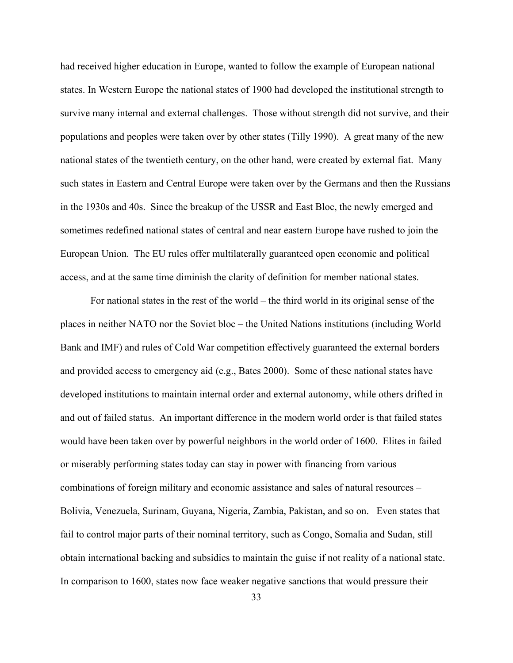had received higher education in Europe, wanted to follow the example of European national states. In Western Europe the national states of 1900 had developed the institutional strength to survive many internal and external challenges. Those without strength did not survive, and their populations and peoples were taken over by other states (Tilly 1990). A great many of the new national states of the twentieth century, on the other hand, were created by external fiat. Many such states in Eastern and Central Europe were taken over by the Germans and then the Russians in the 1930s and 40s. Since the breakup of the USSR and East Bloc, the newly emerged and sometimes redefined national states of central and near eastern Europe have rushed to join the European Union. The EU rules offer multilaterally guaranteed open economic and political access, and at the same time diminish the clarity of definition for member national states.

For national states in the rest of the world – the third world in its original sense of the places in neither NATO nor the Soviet bloc – the United Nations institutions (including World Bank and IMF) and rules of Cold War competition effectively guaranteed the external borders and provided access to emergency aid (e.g., Bates 2000). Some of these national states have developed institutions to maintain internal order and external autonomy, while others drifted in and out of failed status. An important difference in the modern world order is that failed states would have been taken over by powerful neighbors in the world order of 1600. Elites in failed or miserably performing states today can stay in power with financing from various combinations of foreign military and economic assistance and sales of natural resources – Bolivia, Venezuela, Surinam, Guyana, Nigeria, Zambia, Pakistan, and so on. Even states that fail to control major parts of their nominal territory, such as Congo, Somalia and Sudan, still obtain international backing and subsidies to maintain the guise if not reality of a national state. In comparison to 1600, states now face weaker negative sanctions that would pressure their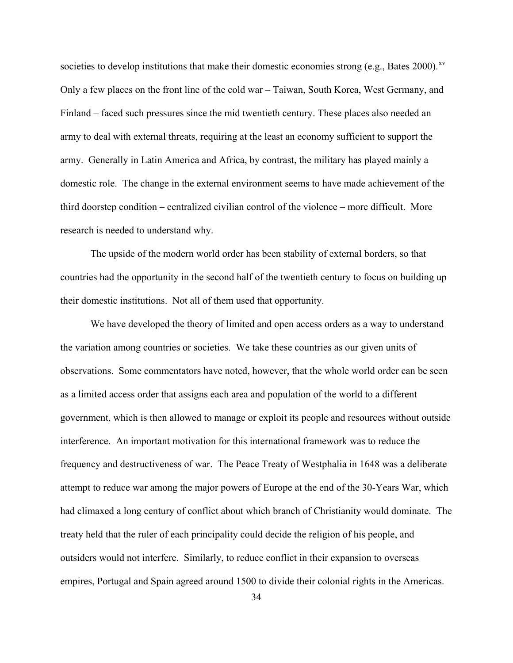societies to develop institutions that make their domestic economies strong (e.g., Bates 2000).<sup>[xv](#page-49-1)</sup> Only a few places on the front line of the cold war – Taiwan, South Korea, West Germany, and Finland – faced such pressures since the mid twentieth century. These places also needed an army to deal with external threats, requiring at the least an economy sufficient to support the army. Generally in Latin America and Africa, by contrast, the military has played mainly a domestic role. The change in the external environment seems to have made achievement of the third doorstep condition – centralized civilian control of the violence – more difficult. More research is needed to understand why.

The upside of the modern world order has been stability of external borders, so that countries had the opportunity in the second half of the twentieth century to focus on building up their domestic institutions. Not all of them used that opportunity.

We have developed the theory of limited and open access orders as a way to understand the variation among countries or societies. We take these countries as our given units of observations. Some commentators have noted, however, that the whole world order can be seen as a limited access order that assigns each area and population of the world to a different government, which is then allowed to manage or exploit its people and resources without outside interference. An important motivation for this international framework was to reduce the frequency and destructiveness of war. The Peace Treaty of Westphalia in 1648 was a deliberate attempt to reduce war among the major powers of Europe at the end of the 30-Years War, which had climaxed a long century of conflict about which branch of Christianity would dominate. The treaty held that the ruler of each principality could decide the religion of his people, and outsiders would not interfere. Similarly, to reduce conflict in their expansion to overseas empires, Portugal and Spain agreed around 1500 to divide their colonial rights in the Americas.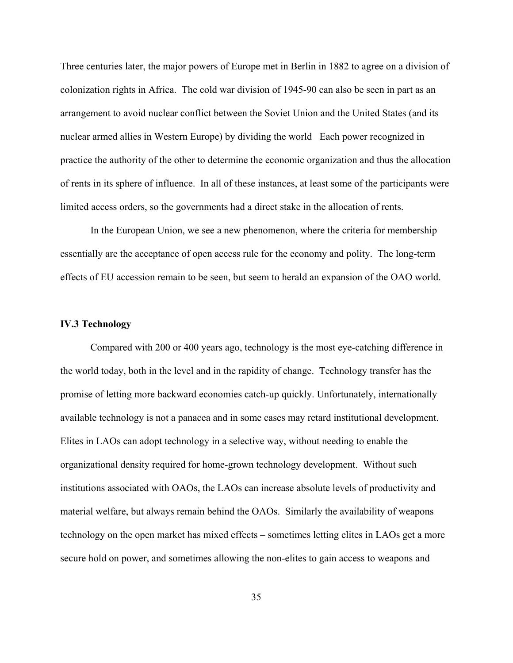Three centuries later, the major powers of Europe met in Berlin in 1882 to agree on a division of colonization rights in Africa. The cold war division of 1945-90 can also be seen in part as an arrangement to avoid nuclear conflict between the Soviet Union and the United States (and its nuclear armed allies in Western Europe) by dividing the world Each power recognized in practice the authority of the other to determine the economic organization and thus the allocation of rents in its sphere of influence. In all of these instances, at least some of the participants were limited access orders, so the governments had a direct stake in the allocation of rents.

In the European Union, we see a new phenomenon, where the criteria for membership essentially are the acceptance of open access rule for the economy and polity. The long-term effects of EU accession remain to be seen, but seem to herald an expansion of the OAO world.

## **IV.3 Technology**

Compared with 200 or 400 years ago, technology is the most eye-catching difference in the world today, both in the level and in the rapidity of change. Technology transfer has the promise of letting more backward economies catch-up quickly. Unfortunately, internationally available technology is not a panacea and in some cases may retard institutional development. Elites in LAOs can adopt technology in a selective way, without needing to enable the organizational density required for home-grown technology development. Without such institutions associated with OAOs, the LAOs can increase absolute levels of productivity and material welfare, but always remain behind the OAOs. Similarly the availability of weapons technology on the open market has mixed effects – sometimes letting elites in LAOs get a more secure hold on power, and sometimes allowing the non-elites to gain access to weapons and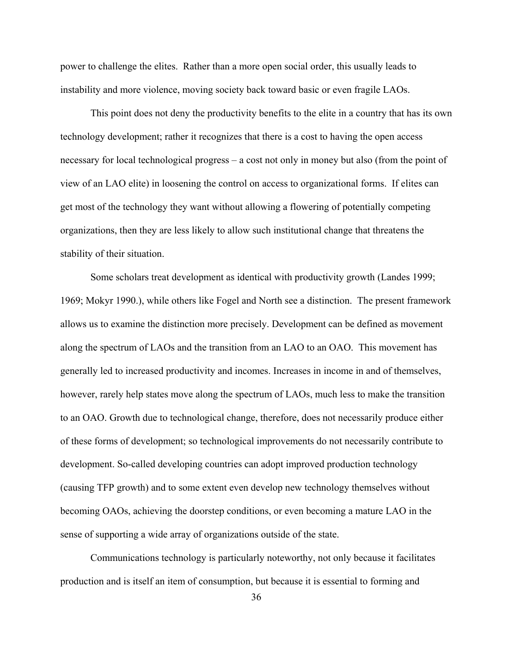power to challenge the elites. Rather than a more open social order, this usually leads to instability and more violence, moving society back toward basic or even fragile LAOs.

This point does not deny the productivity benefits to the elite in a country that has its own technology development; rather it recognizes that there is a cost to having the open access necessary for local technological progress – a cost not only in money but also (from the point of view of an LAO elite) in loosening the control on access to organizational forms. If elites can get most of the technology they want without allowing a flowering of potentially competing organizations, then they are less likely to allow such institutional change that threatens the stability of their situation.

Some scholars treat development as identical with productivity growth (Landes 1999; 1969; Mokyr 1990.), while others like Fogel and North see a distinction. The present framework allows us to examine the distinction more precisely. Development can be defined as movement along the spectrum of LAOs and the transition from an LAO to an OAO. This movement has generally led to increased productivity and incomes. Increases in income in and of themselves, however, rarely help states move along the spectrum of LAOs, much less to make the transition to an OAO. Growth due to technological change, therefore, does not necessarily produce either of these forms of development; so technological improvements do not necessarily contribute to development. So-called developing countries can adopt improved production technology (causing TFP growth) and to some extent even develop new technology themselves without becoming OAOs, achieving the doorstep conditions, or even becoming a mature LAO in the sense of supporting a wide array of organizations outside of the state.

Communications technology is particularly noteworthy, not only because it facilitates production and is itself an item of consumption, but because it is essential to forming and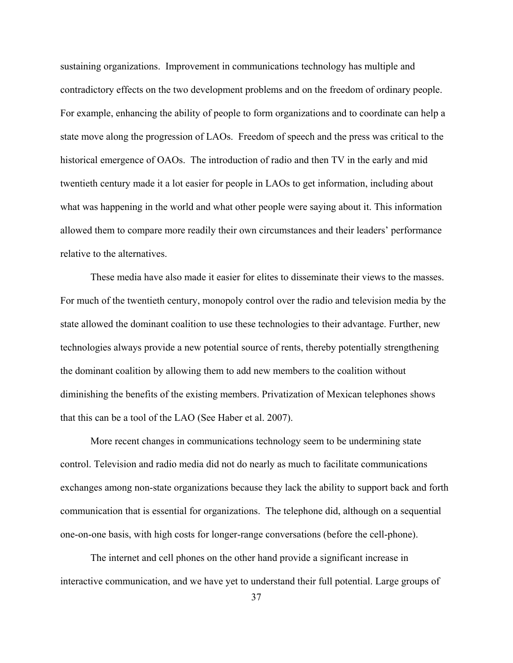sustaining organizations. Improvement in communications technology has multiple and contradictory effects on the two development problems and on the freedom of ordinary people. For example, enhancing the ability of people to form organizations and to coordinate can help a state move along the progression of LAOs. Freedom of speech and the press was critical to the historical emergence of OAOs. The introduction of radio and then TV in the early and mid twentieth century made it a lot easier for people in LAOs to get information, including about what was happening in the world and what other people were saying about it. This information allowed them to compare more readily their own circumstances and their leaders' performance relative to the alternatives.

These media have also made it easier for elites to disseminate their views to the masses. For much of the twentieth century, monopoly control over the radio and television media by the state allowed the dominant coalition to use these technologies to their advantage. Further, new technologies always provide a new potential source of rents, thereby potentially strengthening the dominant coalition by allowing them to add new members to the coalition without diminishing the benefits of the existing members. Privatization of Mexican telephones shows that this can be a tool of the LAO (See Haber et al. 2007).

More recent changes in communications technology seem to be undermining state control. Television and radio media did not do nearly as much to facilitate communications exchanges among non-state organizations because they lack the ability to support back and forth communication that is essential for organizations. The telephone did, although on a sequential one-on-one basis, with high costs for longer-range conversations (before the cell-phone).

The internet and cell phones on the other hand provide a significant increase in interactive communication, and we have yet to understand their full potential. Large groups of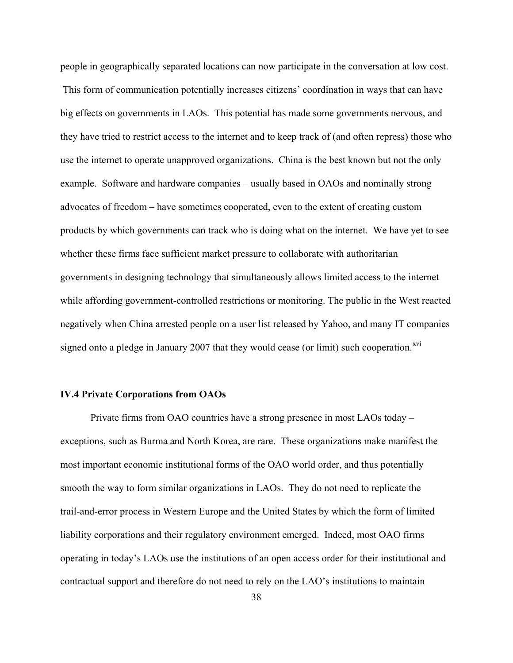people in geographically separated locations can now participate in the conversation at low cost.

 This form of communication potentially increases citizens' coordination in ways that can have big effects on governments in LAOs. This potential has made some governments nervous, and they have tried to restrict access to the internet and to keep track of (and often repress) those who use the internet to operate unapproved organizations. China is the best known but not the only example. Software and hardware companies – usually based in OAOs and nominally strong advocates of freedom – have sometimes cooperated, even to the extent of creating custom products by which governments can track who is doing what on the internet. We have yet to see whether these firms face sufficient market pressure to collaborate with authoritarian governments in designing technology that simultaneously allows limited access to the internet while affording government-controlled restrictions or monitoring. The public in the West reacted negatively when China arrested people on a user list released by Yahoo, and many IT companies signed onto a pledge in January 2007 that they would cease (or limit) such cooperation.<sup>[xvi](#page-49-1)</sup>

#### **IV.4 Private Corporations from OAOs**

Private firms from OAO countries have a strong presence in most LAOs today – exceptions, such as Burma and North Korea, are rare. These organizations make manifest the most important economic institutional forms of the OAO world order, and thus potentially smooth the way to form similar organizations in LAOs. They do not need to replicate the trail-and-error process in Western Europe and the United States by which the form of limited liability corporations and their regulatory environment emerged. Indeed, most OAO firms operating in today's LAOs use the institutions of an open access order for their institutional and contractual support and therefore do not need to rely on the LAO's institutions to maintain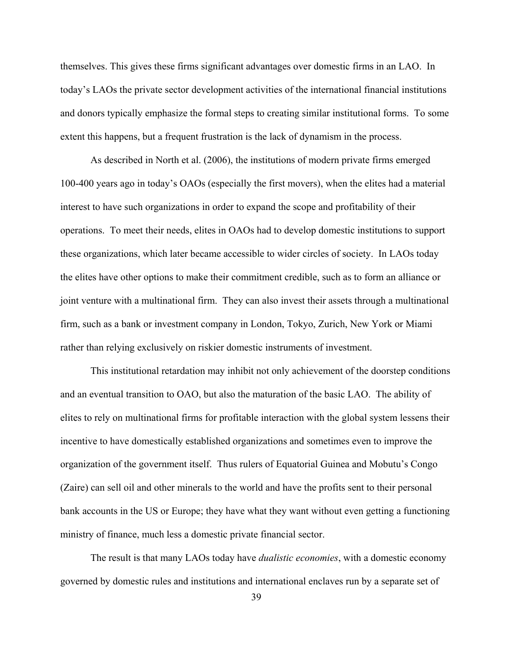themselves. This gives these firms significant advantages over domestic firms in an LAO. In today's LAOs the private sector development activities of the international financial institutions and donors typically emphasize the formal steps to creating similar institutional forms. To some extent this happens, but a frequent frustration is the lack of dynamism in the process.

As described in North et al. (2006), the institutions of modern private firms emerged 100-400 years ago in today's OAOs (especially the first movers), when the elites had a material interest to have such organizations in order to expand the scope and profitability of their operations. To meet their needs, elites in OAOs had to develop domestic institutions to support these organizations, which later became accessible to wider circles of society. In LAOs today the elites have other options to make their commitment credible, such as to form an alliance or joint venture with a multinational firm. They can also invest their assets through a multinational firm, such as a bank or investment company in London, Tokyo, Zurich, New York or Miami rather than relying exclusively on riskier domestic instruments of investment.

This institutional retardation may inhibit not only achievement of the doorstep conditions and an eventual transition to OAO, but also the maturation of the basic LAO. The ability of elites to rely on multinational firms for profitable interaction with the global system lessens their incentive to have domestically established organizations and sometimes even to improve the organization of the government itself. Thus rulers of Equatorial Guinea and Mobutu's Congo (Zaire) can sell oil and other minerals to the world and have the profits sent to their personal bank accounts in the US or Europe; they have what they want without even getting a functioning ministry of finance, much less a domestic private financial sector.

The result is that many LAOs today have *dualistic economies*, with a domestic economy governed by domestic rules and institutions and international enclaves run by a separate set of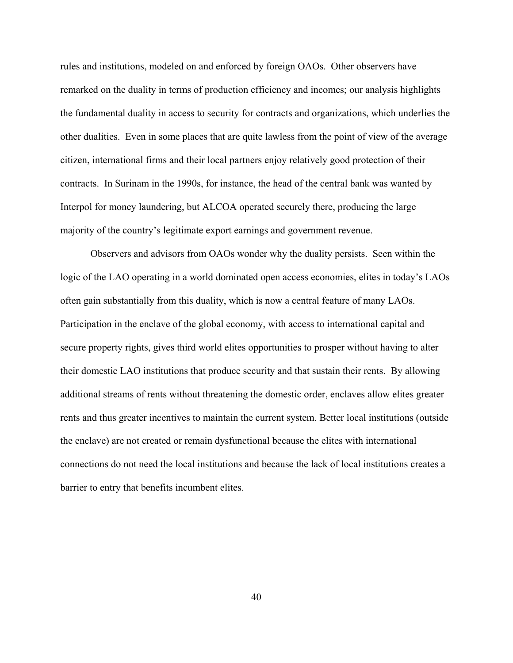rules and institutions, modeled on and enforced by foreign OAOs. Other observers have remarked on the duality in terms of production efficiency and incomes; our analysis highlights the fundamental duality in access to security for contracts and organizations, which underlies the other dualities. Even in some places that are quite lawless from the point of view of the average citizen, international firms and their local partners enjoy relatively good protection of their contracts. In Surinam in the 1990s, for instance, the head of the central bank was wanted by Interpol for money laundering, but ALCOA operated securely there, producing the large majority of the country's legitimate export earnings and government revenue.

Observers and advisors from OAOs wonder why the duality persists. Seen within the logic of the LAO operating in a world dominated open access economies, elites in today's LAOs often gain substantially from this duality, which is now a central feature of many LAOs. Participation in the enclave of the global economy, with access to international capital and secure property rights, gives third world elites opportunities to prosper without having to alter their domestic LAO institutions that produce security and that sustain their rents. By allowing additional streams of rents without threatening the domestic order, enclaves allow elites greater rents and thus greater incentives to maintain the current system. Better local institutions (outside the enclave) are not created or remain dysfunctional because the elites with international connections do not need the local institutions and because the lack of local institutions creates a barrier to entry that benefits incumbent elites.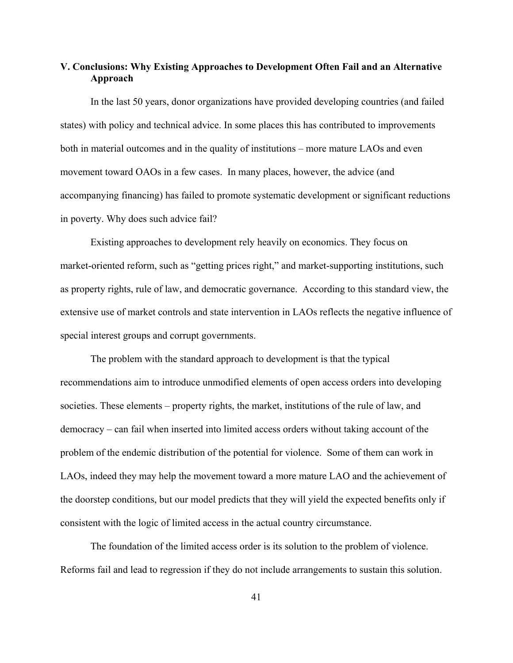## **V. Conclusions: Why Existing Approaches to Development Often Fail and an Alternative Approach**

In the last 50 years, donor organizations have provided developing countries (and failed states) with policy and technical advice. In some places this has contributed to improvements both in material outcomes and in the quality of institutions – more mature LAOs and even movement toward OAOs in a few cases. In many places, however, the advice (and accompanying financing) has failed to promote systematic development or significant reductions in poverty. Why does such advice fail?

Existing approaches to development rely heavily on economics. They focus on market-oriented reform, such as "getting prices right," and market-supporting institutions, such as property rights, rule of law, and democratic governance. According to this standard view, the extensive use of market controls and state intervention in LAOs reflects the negative influence of special interest groups and corrupt governments.

The problem with the standard approach to development is that the typical recommendations aim to introduce unmodified elements of open access orders into developing societies. These elements – property rights, the market, institutions of the rule of law, and democracy – can fail when inserted into limited access orders without taking account of the problem of the endemic distribution of the potential for violence. Some of them can work in LAOs, indeed they may help the movement toward a more mature LAO and the achievement of the doorstep conditions, but our model predicts that they will yield the expected benefits only if consistent with the logic of limited access in the actual country circumstance.

The foundation of the limited access order is its solution to the problem of violence. Reforms fail and lead to regression if they do not include arrangements to sustain this solution.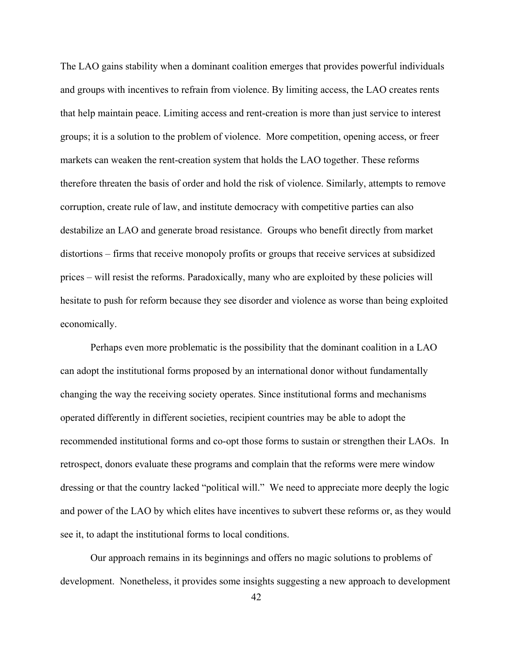The LAO gains stability when a dominant coalition emerges that provides powerful individuals and groups with incentives to refrain from violence. By limiting access, the LAO creates rents that help maintain peace. Limiting access and rent-creation is more than just service to interest groups; it is a solution to the problem of violence. More competition, opening access, or freer markets can weaken the rent-creation system that holds the LAO together. These reforms therefore threaten the basis of order and hold the risk of violence. Similarly, attempts to remove corruption, create rule of law, and institute democracy with competitive parties can also destabilize an LAO and generate broad resistance. Groups who benefit directly from market distortions – firms that receive monopoly profits or groups that receive services at subsidized prices – will resist the reforms. Paradoxically, many who are exploited by these policies will hesitate to push for reform because they see disorder and violence as worse than being exploited economically.

Perhaps even more problematic is the possibility that the dominant coalition in a LAO can adopt the institutional forms proposed by an international donor without fundamentally changing the way the receiving society operates. Since institutional forms and mechanisms operated differently in different societies, recipient countries may be able to adopt the recommended institutional forms and co-opt those forms to sustain or strengthen their LAOs. In retrospect, donors evaluate these programs and complain that the reforms were mere window dressing or that the country lacked "political will." We need to appreciate more deeply the logic and power of the LAO by which elites have incentives to subvert these reforms or, as they would see it, to adapt the institutional forms to local conditions.

Our approach remains in its beginnings and offers no magic solutions to problems of development. Nonetheless, it provides some insights suggesting a new approach to development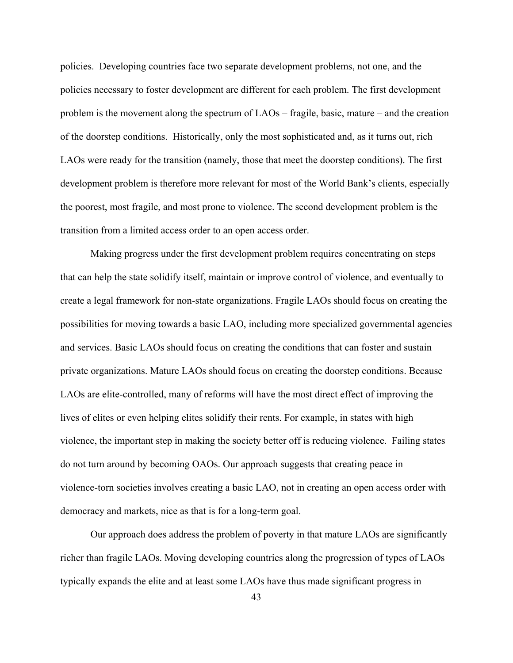policies. Developing countries face two separate development problems, not one, and the policies necessary to foster development are different for each problem. The first development problem is the movement along the spectrum of LAOs – fragile, basic, mature – and the creation of the doorstep conditions. Historically, only the most sophisticated and, as it turns out, rich LAOs were ready for the transition (namely, those that meet the doorstep conditions). The first development problem is therefore more relevant for most of the World Bank's clients, especially the poorest, most fragile, and most prone to violence. The second development problem is the transition from a limited access order to an open access order.

Making progress under the first development problem requires concentrating on steps that can help the state solidify itself, maintain or improve control of violence, and eventually to create a legal framework for non-state organizations. Fragile LAOs should focus on creating the possibilities for moving towards a basic LAO, including more specialized governmental agencies and services. Basic LAOs should focus on creating the conditions that can foster and sustain private organizations. Mature LAOs should focus on creating the doorstep conditions. Because LAOs are elite-controlled, many of reforms will have the most direct effect of improving the lives of elites or even helping elites solidify their rents. For example, in states with high violence, the important step in making the society better off is reducing violence. Failing states do not turn around by becoming OAOs. Our approach suggests that creating peace in violence-torn societies involves creating a basic LAO, not in creating an open access order with democracy and markets, nice as that is for a long-term goal.

Our approach does address the problem of poverty in that mature LAOs are significantly richer than fragile LAOs. Moving developing countries along the progression of types of LAOs typically expands the elite and at least some LAOs have thus made significant progress in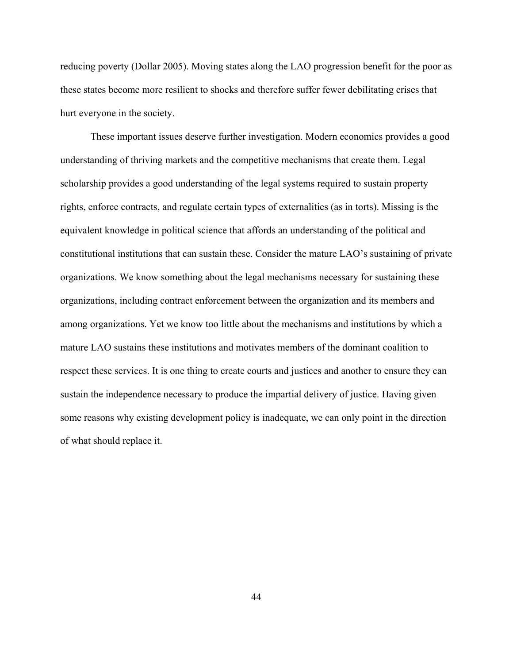reducing poverty (Dollar 2005). Moving states along the LAO progression benefit for the poor as these states become more resilient to shocks and therefore suffer fewer debilitating crises that hurt everyone in the society.

These important issues deserve further investigation. Modern economics provides a good understanding of thriving markets and the competitive mechanisms that create them. Legal scholarship provides a good understanding of the legal systems required to sustain property rights, enforce contracts, and regulate certain types of externalities (as in torts). Missing is the equivalent knowledge in political science that affords an understanding of the political and constitutional institutions that can sustain these. Consider the mature LAO's sustaining of private organizations. We know something about the legal mechanisms necessary for sustaining these organizations, including contract enforcement between the organization and its members and among organizations. Yet we know too little about the mechanisms and institutions by which a mature LAO sustains these institutions and motivates members of the dominant coalition to respect these services. It is one thing to create courts and justices and another to ensure they can sustain the independence necessary to produce the impartial delivery of justice. Having given some reasons why existing development policy is inadequate, we can only point in the direction of what should replace it.

44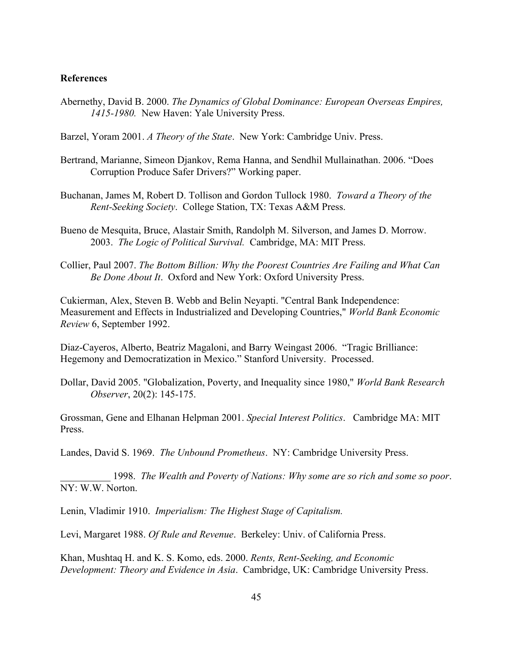## **References**

Abernethy, David B. 2000. *The Dynamics of Global Dominance: European Overseas Empires, 1415-1980.* New Haven: Yale University Press.

Barzel, Yoram 2001. *A Theory of the State*. New York: Cambridge Univ. Press.

- Bertrand, Marianne, Simeon Djankov, Rema Hanna, and Sendhil Mullainathan. 2006. "Does Corruption Produce Safer Drivers?" Working paper.
- Buchanan, James M, Robert D. Tollison and Gordon Tullock 1980. *Toward a Theory of the Rent-Seeking Society*. College Station, TX: Texas A&M Press.
- Bueno de Mesquita, Bruce, Alastair Smith, Randolph M. Silverson, and James D. Morrow. 2003. *The Logic of Political Survival.* Cambridge, MA: MIT Press.
- Collier, Paul 2007. *The Bottom Billion: Why the Poorest Countries Are Failing and What Can Be Done About It*. Oxford and New York: Oxford University Press.

Cukierman, Alex, Steven B. Webb and Belin Neyapti. "Central Bank Independence: Measurement and Effects in Industrialized and Developing Countries," *World Bank Economic Review* 6, September 1992.

Diaz-Cayeros, Alberto, Beatriz Magaloni, and Barry Weingast 2006. "Tragic Brilliance: Hegemony and Democratization in Mexico." Stanford University. Processed.

Dollar, David 2005. "Globalization, Poverty, and Inequality since 1980," *World Bank Research Observer*, 20(2): 145-175.

Grossman, Gene and Elhanan Helpman 2001. *Special Interest Politics*. Cambridge MA: MIT Press.

Landes, David S. 1969. *The Unbound Prometheus*. NY: Cambridge University Press.

\_\_\_\_\_\_\_\_\_\_ 1998. *The Wealth and Poverty of Nations: Why some are so rich and some so poor*. NY: W.W. Norton.

Lenin, Vladimir 1910. *Imperialism: The Highest Stage of Capitalism.*

Levi, Margaret 1988. *Of Rule and Revenue*. Berkeley: Univ. of California Press.

Khan, Mushtaq H. and K. S. Komo, eds. 2000. *Rents, Rent-Seeking, and Economic Development: Theory and Evidence in Asia*. Cambridge, UK: Cambridge University Press.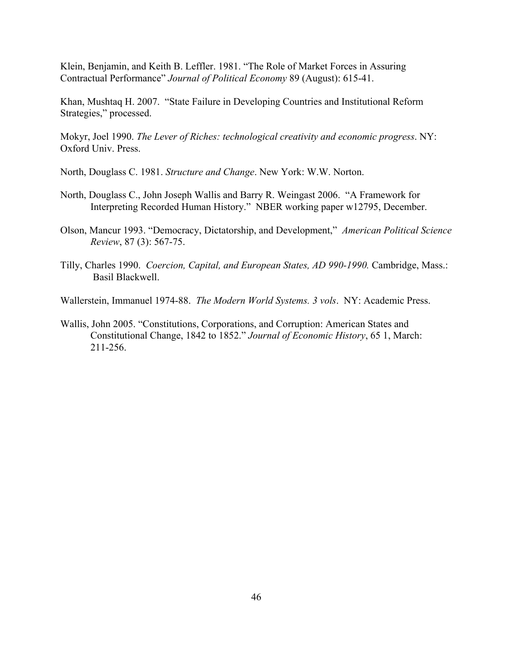Klein, Benjamin, and Keith B. Leffler. 1981. "The Role of Market Forces in Assuring Contractual Performance" *Journal of Political Economy* 89 (August): 615-41.

Khan, Mushtaq H. 2007. "State Failure in Developing Countries and Institutional Reform Strategies," processed.

Mokyr, Joel 1990. *The Lever of Riches: technological creativity and economic progress*. NY: Oxford Univ. Press.

North, Douglass C. 1981. *Structure and Change*. New York: W.W. Norton.

- North, Douglass C., John Joseph Wallis and Barry R. Weingast 2006. "A Framework for Interpreting Recorded Human History." NBER working paper w12795, December.
- Olson, Mancur 1993. "Democracy, Dictatorship, and Development," *American Political Science Review*, 87 (3): 567-75.
- Tilly, Charles 1990. *Coercion, Capital, and European States, AD 990-1990.* Cambridge, Mass.: Basil Blackwell.

Wallerstein, Immanuel 1974-88. *The Modern World Systems. 3 vols*. NY: Academic Press.

Wallis, John 2005. "Constitutions, Corporations, and Corruption: American States and Constitutional Change, 1842 to 1852." *Journal of Economic History*, 65 1, March: 211-256.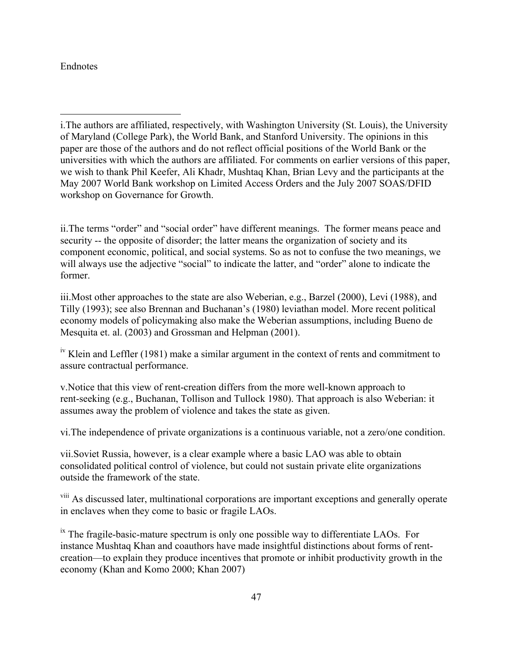## Endnotes

 $\overline{a}$ 

ii.The terms "order" and "social order" have different meanings. The former means peace and security -- the opposite of disorder; the latter means the organization of society and its component economic, political, and social systems. So as not to confuse the two meanings, we will always use the adjective "social" to indicate the latter, and "order" alone to indicate the former.

iii.Most other approaches to the state are also Weberian, e.g., Barzel (2000), Levi (1988), and Tilly (1993); see also Brennan and Buchanan's (1980) leviathan model. More recent political economy models of policymaking also make the Weberian assumptions, including Bueno de Mesquita et. al. (2003) and Grossman and Helpman (2001).

 $\mu$ <sup>iv</sup> Klein and Leffler (1981) make a similar argument in the context of rents and commitment to assure contractual performance.

v.Notice that this view of rent-creation differs from the more well-known approach to rent-seeking (e.g., Buchanan, Tollison and Tullock 1980). That approach is also Weberian: it assumes away the problem of violence and takes the state as given.

vi.The independence of private organizations is a continuous variable, not a zero/one condition.

vii.Soviet Russia, however, is a clear example where a basic LAO was able to obtain consolidated political control of violence, but could not sustain private elite organizations outside the framework of the state.

<sup>viii</sup> As discussed later, multinational corporations are important exceptions and generally operate in enclaves when they come to basic or fragile LAOs.

 $\frac{1}{10}$  The fragile-basic-mature spectrum is only one possible way to differentiate LAOs. For instance Mushtaq Khan and coauthors have made insightful distinctions about forms of rentcreation—to explain they produce incentives that promote or inhibit productivity growth in the economy (Khan and Komo 2000; Khan 2007)

i.The authors are affiliated, respectively, with Washington University (St. Louis), the University of Maryland (College Park), the World Bank, and Stanford University. The opinions in this paper are those of the authors and do not reflect official positions of the World Bank or the universities with which the authors are affiliated. For comments on earlier versions of this paper, we wish to thank Phil Keefer, Ali Khadr, Mushtaq Khan, Brian Levy and the participants at the May 2007 World Bank workshop on Limited Access Orders and the July 2007 SOAS/DFID workshop on Governance for Growth.